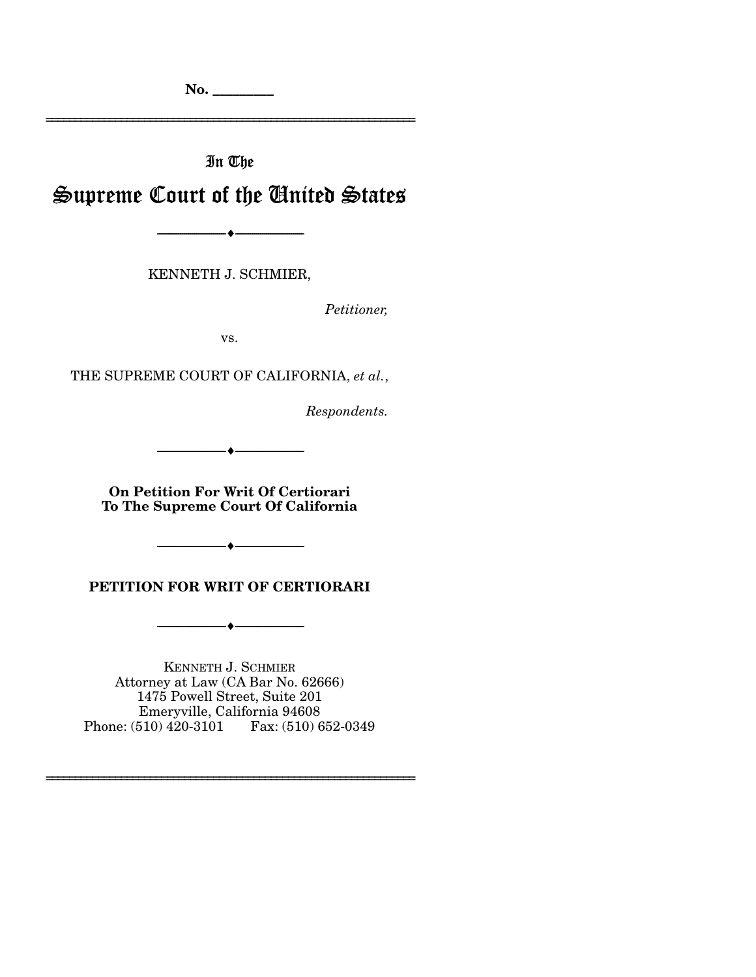**No. \_\_\_\_\_\_\_\_\_** 

================================================================

# In The Supreme Court of the United States

KENNETH J. SCHMIER,

--------------------------------- ♦ ---------------------------------

*Petitioner,* 

vs.

THE SUPREME COURT OF CALIFORNIA, *et al.*,

*Respondents.* 

--------------------------------- ♦ ---------------------------------

**On Petition For Writ Of Certiorari To The Supreme Court Of California** 

**PETITION FOR WRIT OF CERTIORARI** 

--------------------------------- ♦ ---------------------------------

 $\longrightarrow$   $\longleftarrow$   $\longrightarrow$ 

================================================================

KENNETH J. SCHMIER Attorney at Law (CA Bar No. 62666) 1475 Powell Street, Suite 201 Emeryville, California 94608 Phone: (510) 420-3101 Fax: (510) 652-0349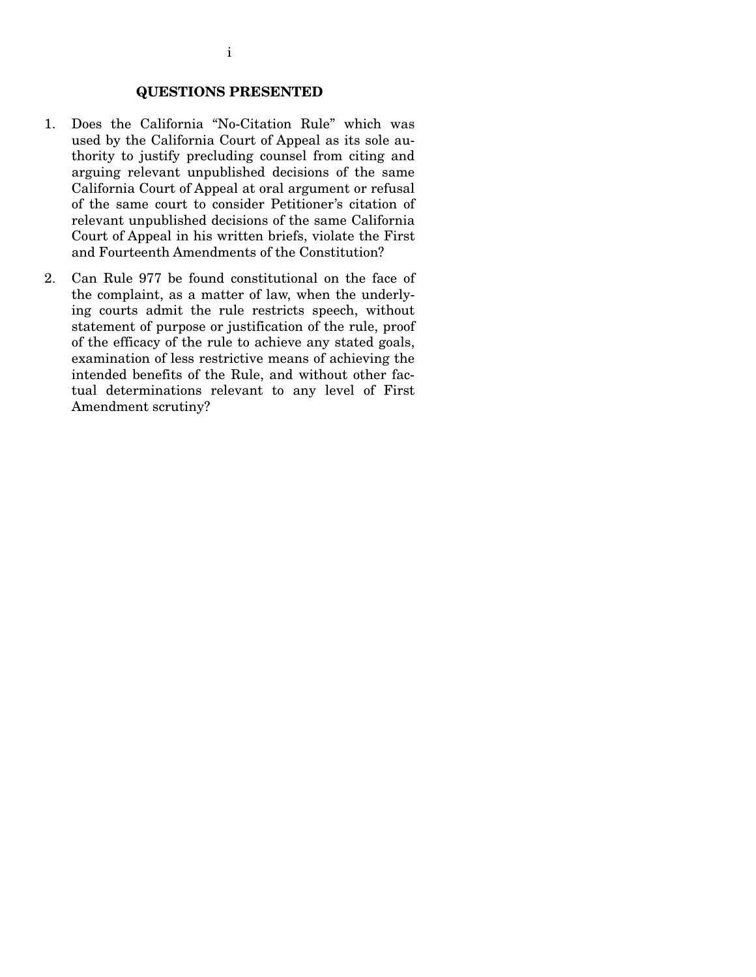#### **QUESTIONS PRESENTED**

- 1. Does the California "No-Citation Rule" which was used by the California Court of Appeal as its sole authority to justify precluding counsel from citing and arguing relevant unpublished decisions of the same California Court of Appeal at oral argument or refusal of the same court to consider Petitioner's citation of relevant unpublished decisions of the same California Court of Appeal in his written briefs, violate the First and Fourteenth Amendments of the Constitution?
- 2. Can Rule 977 be found constitutional on the face of the complaint, as a matter of law, when the underlying courts admit the rule restricts speech, without statement of purpose or justification of the rule, proof of the efficacy of the rule to achieve any stated goals, examination of less restrictive means of achieving the intended benefits of the Rule, and without other factual determinations relevant to any level of First Amendment scrutiny?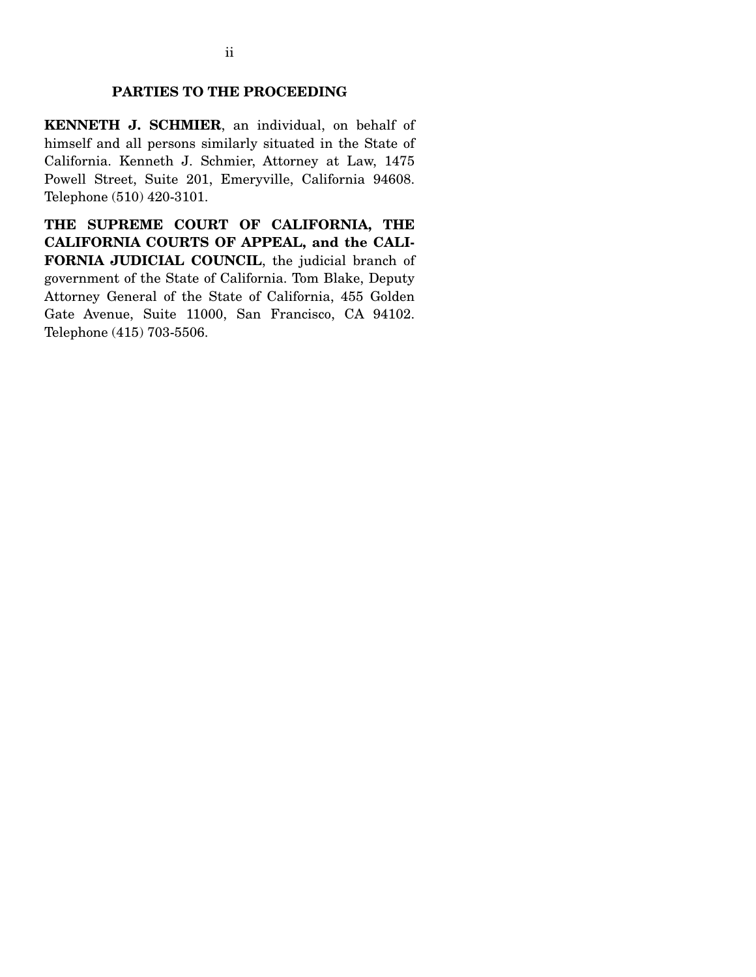#### **PARTIES TO THE PROCEEDING**

**KENNETH J. SCHMIER**, an individual, on behalf of himself and all persons similarly situated in the State of California. Kenneth J. Schmier, Attorney at Law, 1475 Powell Street, Suite 201, Emeryville, California 94608. Telephone (510) 420-3101.

**THE SUPREME COURT OF CALIFORNIA, THE CALIFORNIA COURTS OF APPEAL, and the CALI-FORNIA JUDICIAL COUNCIL**, the judicial branch of government of the State of California. Tom Blake, Deputy Attorney General of the State of California, 455 Golden Gate Avenue, Suite 11000, San Francisco, CA 94102. Telephone (415) 703-5506.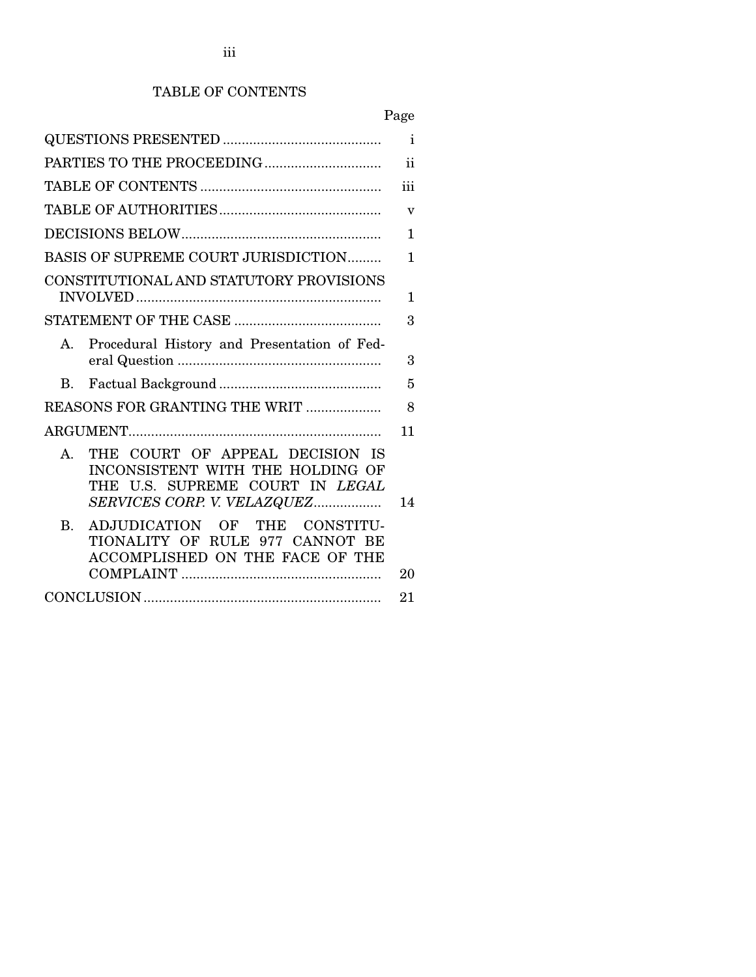# TABLE OF CONTENTS

|                                                                                                                                                       | Page                    |
|-------------------------------------------------------------------------------------------------------------------------------------------------------|-------------------------|
|                                                                                                                                                       | i                       |
|                                                                                                                                                       | $\ddot{\textbf{i}}$     |
|                                                                                                                                                       | iii                     |
|                                                                                                                                                       | $\overline{\mathbf{V}}$ |
|                                                                                                                                                       | 1                       |
| <b>BASIS OF SUPREME COURT JURISDICTION</b>                                                                                                            | 1                       |
| CONSTITUTIONAL AND STATUTORY PROVISIONS                                                                                                               | 1                       |
|                                                                                                                                                       | 3                       |
| Procedural History and Presentation of Fed-<br>$\mathbf{A}$                                                                                           | 3                       |
| $\mathbf{B}$ .                                                                                                                                        | 5                       |
| REASONS FOR GRANTING THE WRIT                                                                                                                         | 8                       |
|                                                                                                                                                       | 11                      |
| THE COURT OF APPEAL DECISION IS<br>$\mathbf{A}$<br>INCONSISTENT WITH THE HOLDING OF<br>THE U.S. SUPREME COURT IN LEGAL<br>SERVICES CORP. V. VELAZQUEZ | 14                      |
| ADJUDICATION OF THE CONSTITU-<br>В.<br>TIONALITY OF RULE 977 CANNOT BE<br>ACCOMPLISHED ON THE FACE OF THE                                             | 20                      |
|                                                                                                                                                       | 21                      |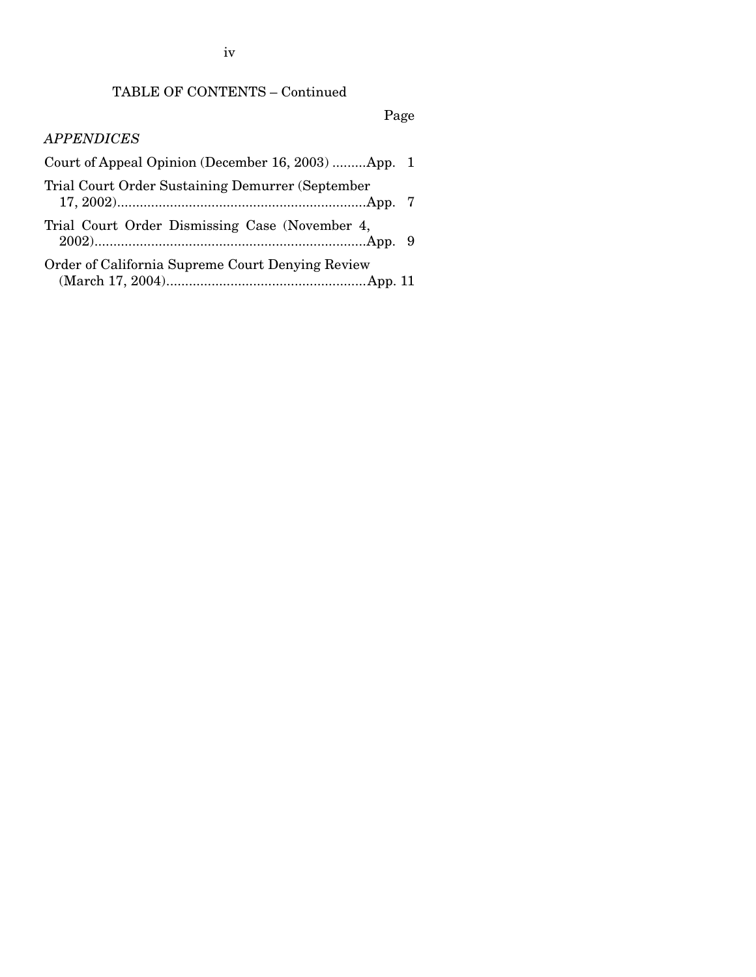# TABLE OF CONTENTS – Continued

Page

# *APPENDICES*

| Court of Appeal Opinion (December 16, 2003) App. 1 |  |
|----------------------------------------------------|--|
| Trial Court Order Sustaining Demurrer (September   |  |
| Trial Court Order Dismissing Case (November 4,     |  |
| Order of California Supreme Court Denying Review   |  |
|                                                    |  |

iv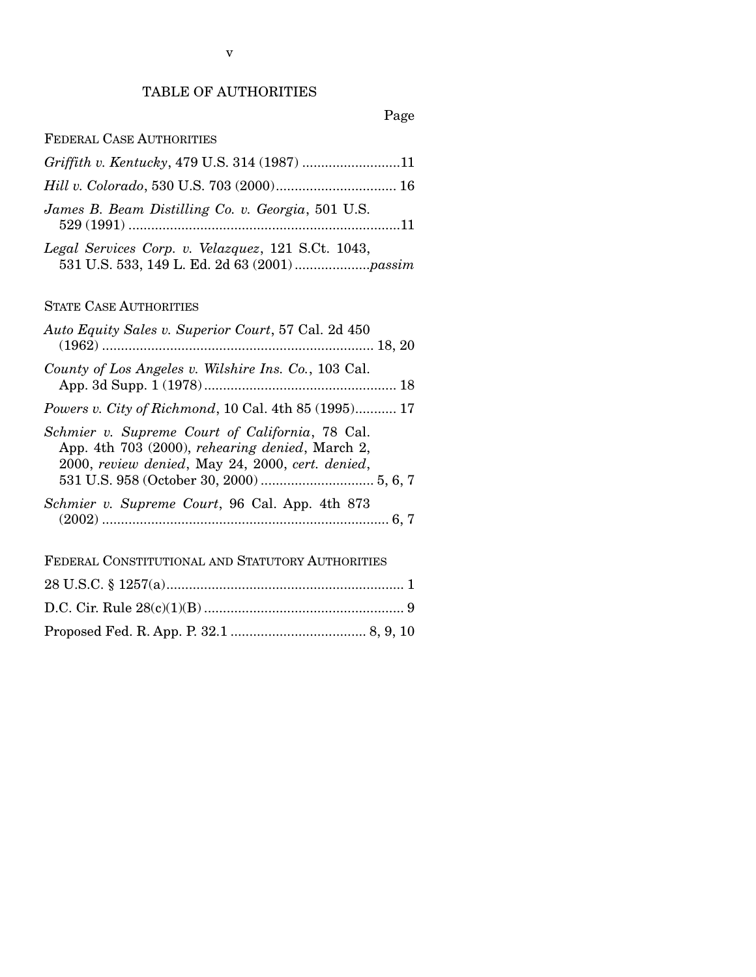## Page

## FEDERAL CASE AUTHORITIES

| Griffith v. Kentucky, 479 U.S. 314 (1987) 11       |  |
|----------------------------------------------------|--|
|                                                    |  |
| James B. Beam Distilling Co. v. Georgia, 501 U.S.  |  |
| Legal Services Corp. v. Velazquez, 121 S.Ct. 1043, |  |

## STATE CASE AUTHORITIES

| Auto Equity Sales v. Superior Court, 57 Cal. 2d 450                                                                                                    |
|--------------------------------------------------------------------------------------------------------------------------------------------------------|
| County of Los Angeles v. Wilshire Ins. Co., 103 Cal.                                                                                                   |
| Powers v. City of Richmond, 10 Cal. 4th 85 (1995) 17                                                                                                   |
| Schmier v. Supreme Court of California, 78 Cal.<br>App. 4th 703 (2000), rehearing denied, March 2,<br>2000, review denied, May 24, 2000, cert. denied, |
| Schmier v. Supreme Court, 96 Cal. App. 4th 873                                                                                                         |
| FEDERAL CONSTITUTIONAL AND STATUTORY AUTHORITIES                                                                                                       |
|                                                                                                                                                        |
|                                                                                                                                                        |
|                                                                                                                                                        |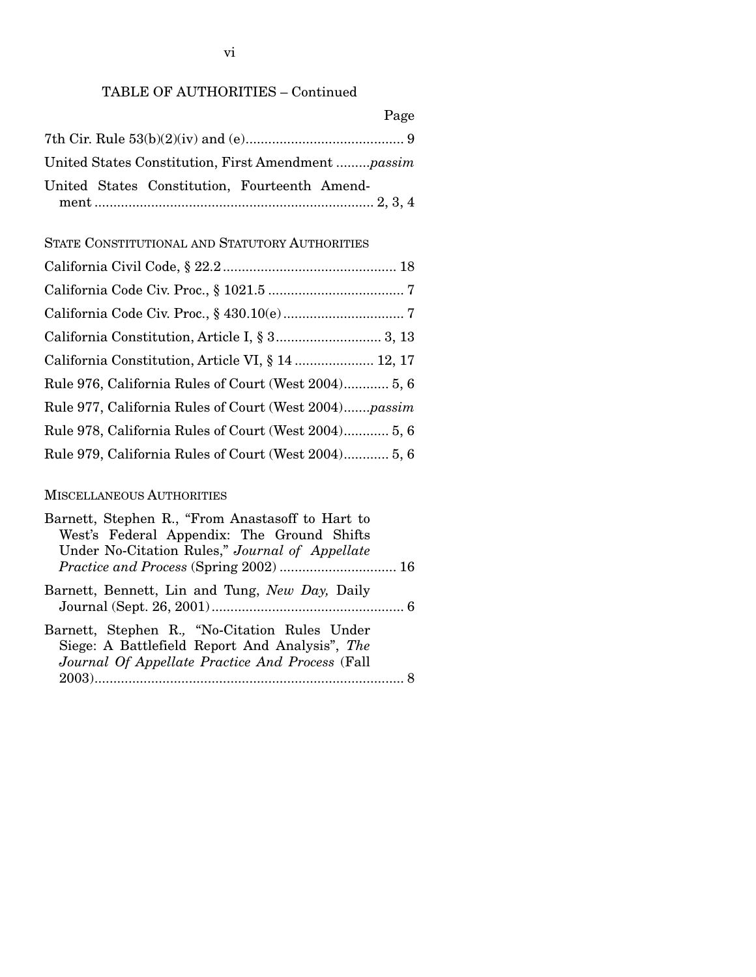# TABLE OF AUTHORITIES – Continued

Page

| United States Constitution, First Amendment passim |  |
|----------------------------------------------------|--|
| United States Constitution, Fourteenth Amend-      |  |
|                                                    |  |

# STATE CONSTITUTIONAL AND STATUTORY AUTHORITIES

| California Constitution, Article VI, § 14 12, 17      |
|-------------------------------------------------------|
| Rule 976, California Rules of Court (West 2004) 5, 6  |
| Rule 977, California Rules of Court (West 2004)passim |
| Rule 978, California Rules of Court (West 2004) 5, 6  |
| Rule 979, California Rules of Court (West 2004) 5, 6  |

## MISCELLANEOUS AUTHORITIES

| Barnett, Stephen R., "From Anastasoff to Hart to                                                |  |
|-------------------------------------------------------------------------------------------------|--|
| West's Federal Appendix: The Ground Shifts                                                      |  |
| Under No-Citation Rules," Journal of Appellate                                                  |  |
|                                                                                                 |  |
| Barnett, Bennett, Lin and Tung, New Day, Daily                                                  |  |
|                                                                                                 |  |
| Barnett, Stephen R., "No-Citation Rules Under<br>Siege: A Battlefield Report And Analysis", The |  |
| Journal Of Appellate Practice And Process (Fall                                                 |  |
|                                                                                                 |  |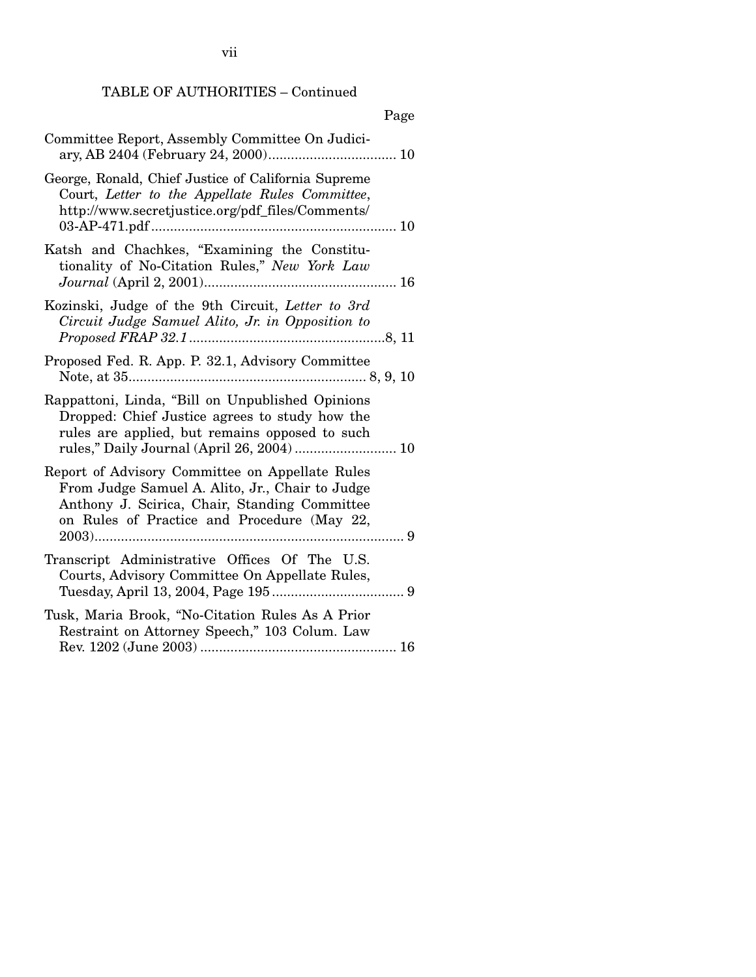TABLE OF AUTHORITIES – Continued

| Page                                                                                                                                                                                               |
|----------------------------------------------------------------------------------------------------------------------------------------------------------------------------------------------------|
| Committee Report, Assembly Committee On Judici-                                                                                                                                                    |
| George, Ronald, Chief Justice of California Supreme<br>Court, Letter to the Appellate Rules Committee,<br>http://www.secretjustice.org/pdf_files/Comments/                                         |
| Katsh and Chachkes, "Examining the Constitu-<br>tionality of No-Citation Rules," New York Law                                                                                                      |
| Kozinski, Judge of the 9th Circuit, Letter to 3rd<br>Circuit Judge Samuel Alito, Jr. in Opposition to                                                                                              |
| Proposed Fed. R. App. P. 32.1, Advisory Committee                                                                                                                                                  |
| Rappattoni, Linda, "Bill on Unpublished Opinions<br>Dropped: Chief Justice agrees to study how the<br>rules are applied, but remains opposed to such<br>rules," Daily Journal (April 26, 2004)  10 |
| Report of Advisory Committee on Appellate Rules<br>From Judge Samuel A. Alito, Jr., Chair to Judge<br>Anthony J. Scirica, Chair, Standing Committee<br>on Rules of Practice and Procedure (May 22, |
| Transcript Administrative Offices Of The U.S.<br>Courts, Advisory Committee On Appellate Rules,                                                                                                    |
| Tusk, Maria Brook, "No-Citation Rules As A Prior<br>Restraint on Attorney Speech," 103 Colum. Law                                                                                                  |

vii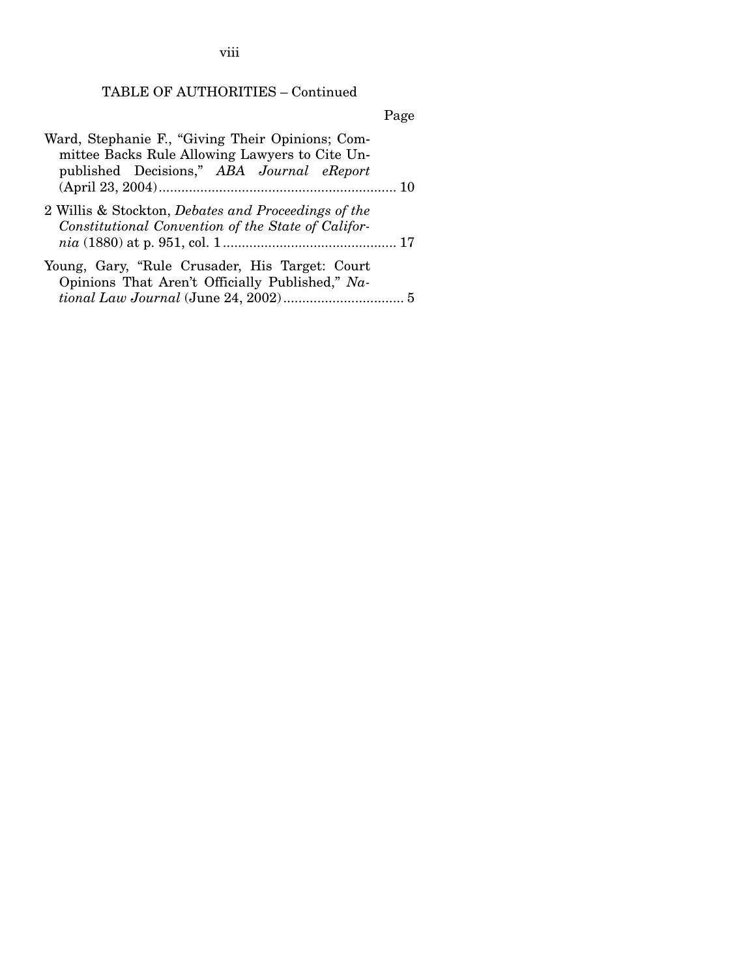viii

# TABLE OF AUTHORITIES – Continued

Page

| Ward, Stephanie F., "Giving Their Opinions; Com-<br>mittee Backs Rule Allowing Lawyers to Cite Un-<br>published Decisions," ABA Journal eReport |  |
|-------------------------------------------------------------------------------------------------------------------------------------------------|--|
|                                                                                                                                                 |  |
| 2 Willis & Stockton, Debates and Proceedings of the<br>Constitutional Convention of the State of Califor-                                       |  |
| Young, Gary, "Rule Crusader, His Target: Court<br>Opinions That Aren't Officially Published," Na-                                               |  |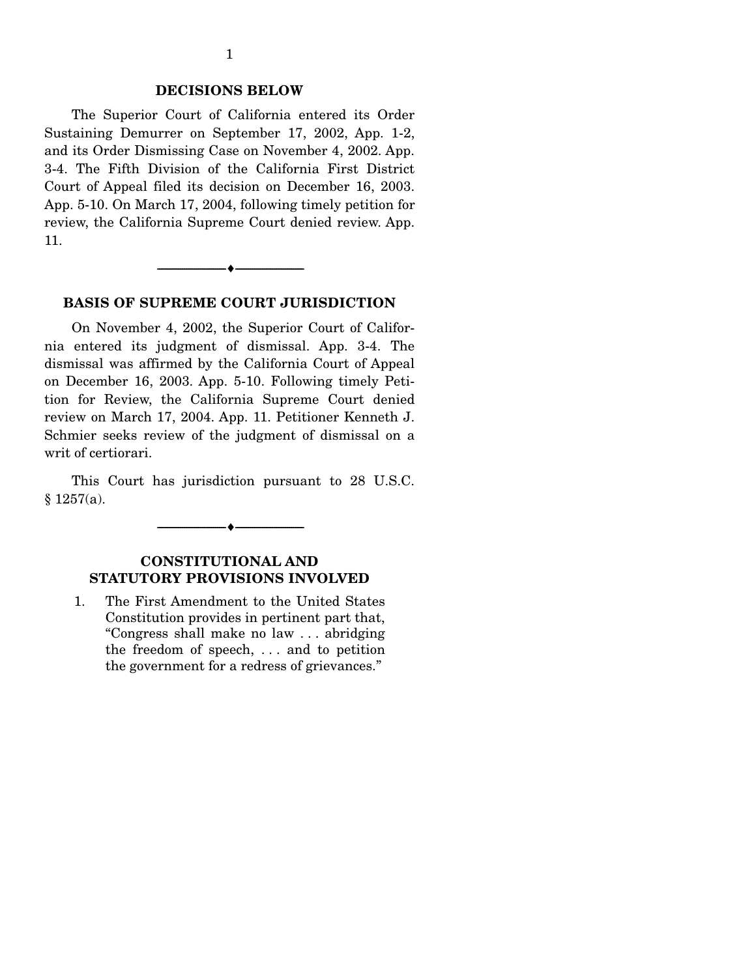#### **DECISIONS BELOW**

 The Superior Court of California entered its Order Sustaining Demurrer on September 17, 2002, App. 1-2, and its Order Dismissing Case on November 4, 2002. App. 3-4. The Fifth Division of the California First District Court of Appeal filed its decision on December 16, 2003. App. 5-10. On March 17, 2004, following timely petition for review, the California Supreme Court denied review. App. 11.

#### **BASIS OF SUPREME COURT JURISDICTION**

--------------------------------- ♦ ---------------------------------

 On November 4, 2002, the Superior Court of California entered its judgment of dismissal. App. 3-4. The dismissal was affirmed by the California Court of Appeal on December 16, 2003. App. 5-10. Following timely Petition for Review, the California Supreme Court denied review on March 17, 2004. App. 11. Petitioner Kenneth J. Schmier seeks review of the judgment of dismissal on a writ of certiorari.

 This Court has jurisdiction pursuant to 28 U.S.C.  $§ 1257(a).$ 

--------------------------------- ♦ ---------------------------------

### **CONSTITUTIONAL AND STATUTORY PROVISIONS INVOLVED**

1. The First Amendment to the United States Constitution provides in pertinent part that, "Congress shall make no law . . . abridging the freedom of speech, . . . and to petition the government for a redress of grievances."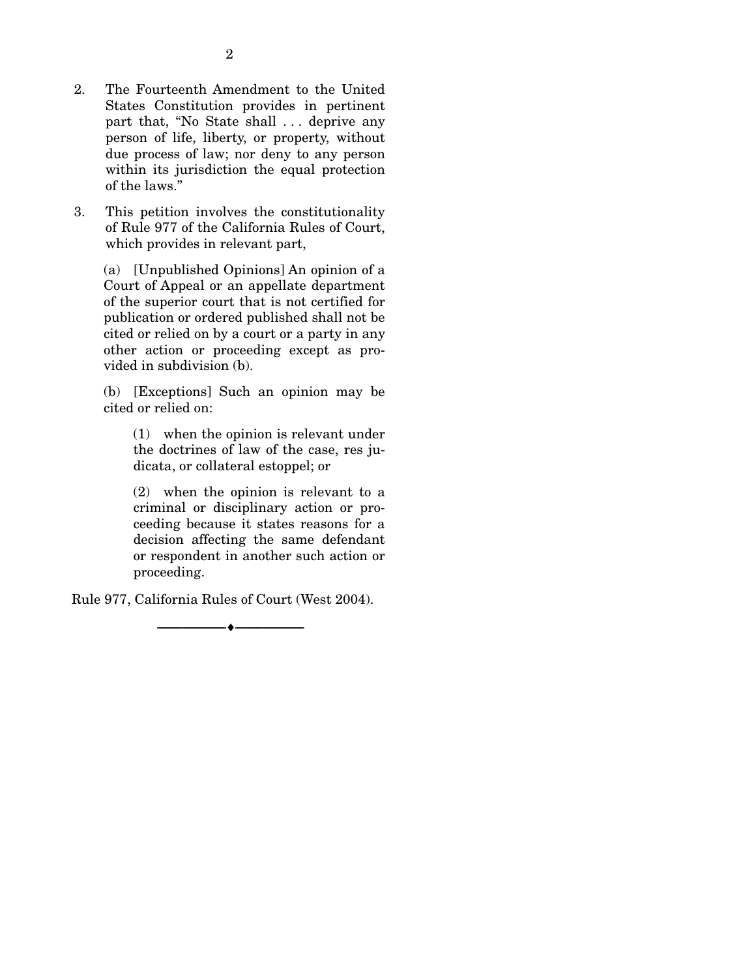3. This petition involves the constitutionality of Rule 977 of the California Rules of Court, which provides in relevant part,

(a) [Unpublished Opinions] An opinion of a Court of Appeal or an appellate department of the superior court that is not certified for publication or ordered published shall not be cited or relied on by a court or a party in any other action or proceeding except as provided in subdivision (b).

(b) [Exceptions] Such an opinion may be cited or relied on:

> (1) when the opinion is relevant under the doctrines of law of the case, res judicata, or collateral estoppel; or

> (2) when the opinion is relevant to a criminal or disciplinary action or proceeding because it states reasons for a decision affecting the same defendant or respondent in another such action or proceeding.

Rule 977, California Rules of Court (West 2004).

--------------------------------- ♦ ---------------------------------

2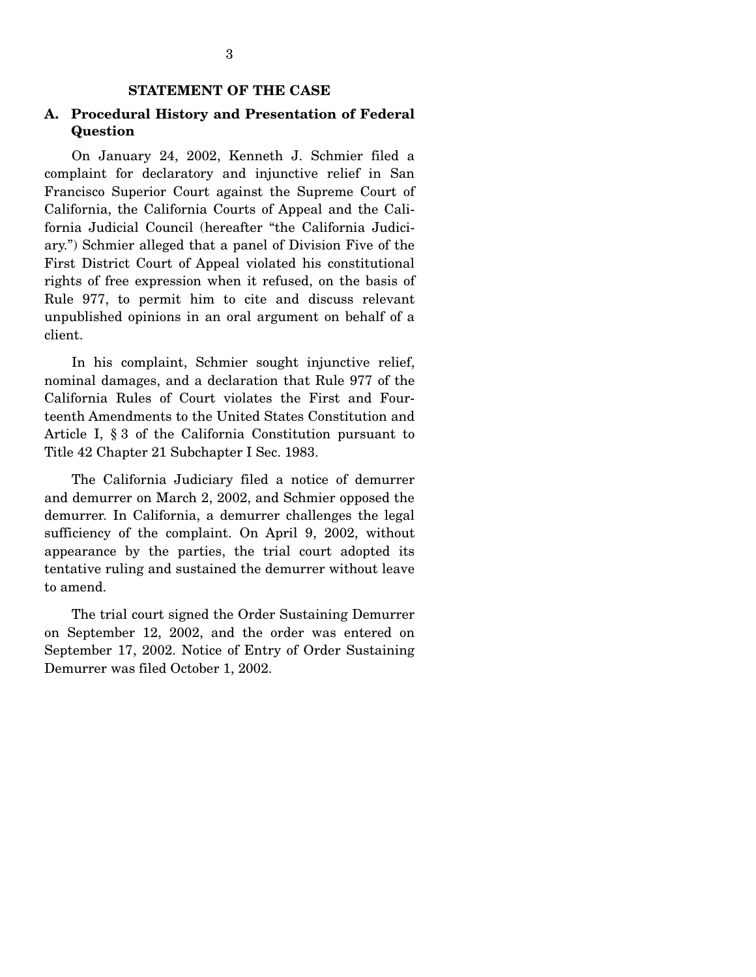#### **STATEMENT OF THE CASE**

## **A. Procedural History and Presentation of Federal Question**

 On January 24, 2002, Kenneth J. Schmier filed a complaint for declaratory and injunctive relief in San Francisco Superior Court against the Supreme Court of California, the California Courts of Appeal and the California Judicial Council (hereafter "the California Judiciary.") Schmier alleged that a panel of Division Five of the First District Court of Appeal violated his constitutional rights of free expression when it refused, on the basis of Rule 977, to permit him to cite and discuss relevant unpublished opinions in an oral argument on behalf of a client.

 In his complaint, Schmier sought injunctive relief, nominal damages, and a declaration that Rule 977 of the California Rules of Court violates the First and Fourteenth Amendments to the United States Constitution and Article I, § 3 of the California Constitution pursuant to Title 42 Chapter 21 Subchapter I Sec. 1983.

 The California Judiciary filed a notice of demurrer and demurrer on March 2, 2002, and Schmier opposed the demurrer. In California, a demurrer challenges the legal sufficiency of the complaint. On April 9, 2002, without appearance by the parties, the trial court adopted its tentative ruling and sustained the demurrer without leave to amend.

 The trial court signed the Order Sustaining Demurrer on September 12, 2002, and the order was entered on September 17, 2002. Notice of Entry of Order Sustaining Demurrer was filed October 1, 2002.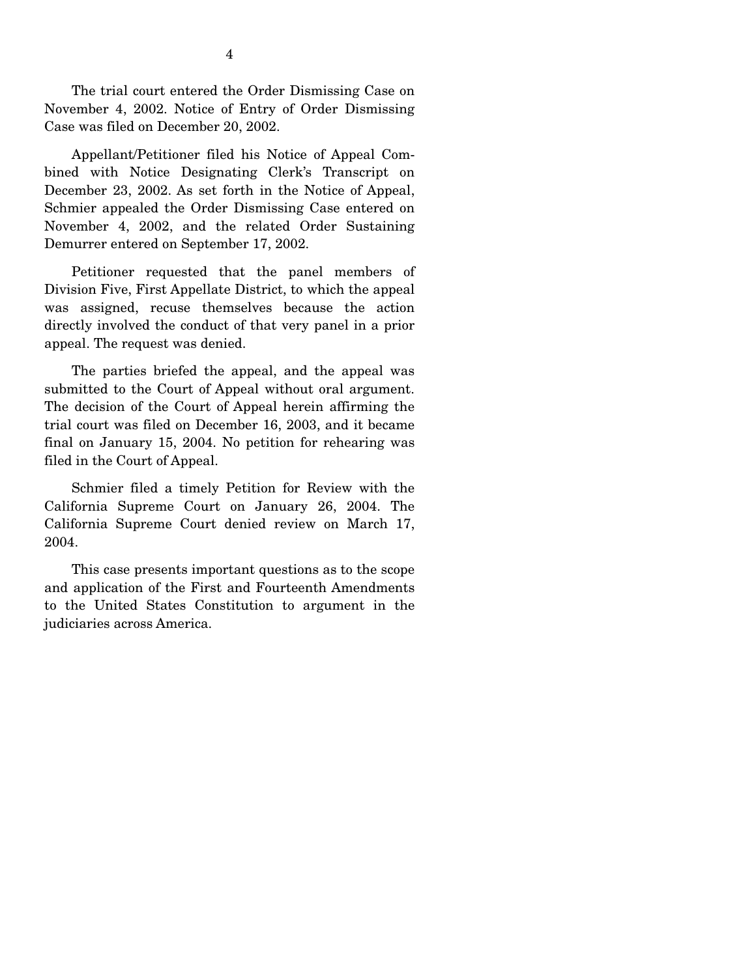The trial court entered the Order Dismissing Case on November 4, 2002. Notice of Entry of Order Dismissing Case was filed on December 20, 2002.

 Appellant/Petitioner filed his Notice of Appeal Combined with Notice Designating Clerk's Transcript on December 23, 2002. As set forth in the Notice of Appeal, Schmier appealed the Order Dismissing Case entered on November 4, 2002, and the related Order Sustaining Demurrer entered on September 17, 2002.

 Petitioner requested that the panel members of Division Five, First Appellate District, to which the appeal was assigned, recuse themselves because the action directly involved the conduct of that very panel in a prior appeal. The request was denied.

 The parties briefed the appeal, and the appeal was submitted to the Court of Appeal without oral argument. The decision of the Court of Appeal herein affirming the trial court was filed on December 16, 2003, and it became final on January 15, 2004. No petition for rehearing was filed in the Court of Appeal.

 Schmier filed a timely Petition for Review with the California Supreme Court on January 26, 2004. The California Supreme Court denied review on March 17, 2004.

 This case presents important questions as to the scope and application of the First and Fourteenth Amendments to the United States Constitution to argument in the judiciaries across America.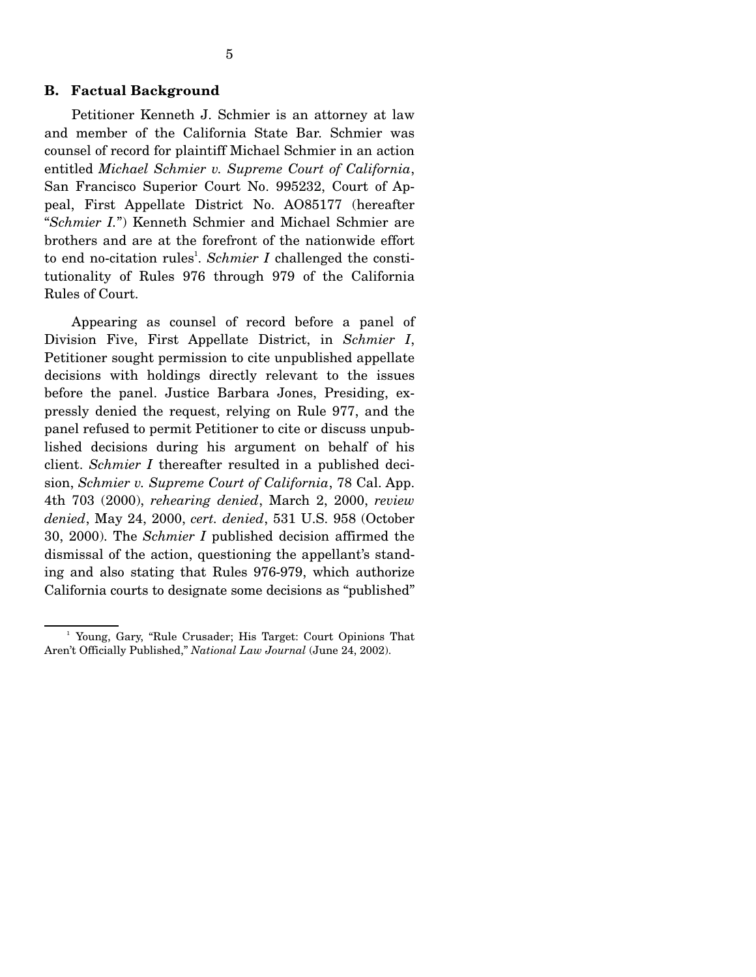#### **B. Factual Background**

 Petitioner Kenneth J. Schmier is an attorney at law and member of the California State Bar. Schmier was counsel of record for plaintiff Michael Schmier in an action entitled *Michael Schmier v. Supreme Court of California*, San Francisco Superior Court No. 995232, Court of Appeal, First Appellate District No. AO85177 (hereafter "*Schmier I.*") Kenneth Schmier and Michael Schmier are brothers and are at the forefront of the nationwide effort to end no-citation rules<sup>1</sup>. Schmier I challenged the constitutionality of Rules 976 through 979 of the California Rules of Court.

 Appearing as counsel of record before a panel of Division Five, First Appellate District, in *Schmier I*, Petitioner sought permission to cite unpublished appellate decisions with holdings directly relevant to the issues before the panel. Justice Barbara Jones, Presiding, expressly denied the request, relying on Rule 977, and the panel refused to permit Petitioner to cite or discuss unpublished decisions during his argument on behalf of his client. *Schmier I* thereafter resulted in a published decision, *Schmier v. Supreme Court of California*, 78 Cal. App. 4th 703 (2000), *rehearing denied*, March 2, 2000, *review denied*, May 24, 2000, *cert. denied*, 531 U.S. 958 (October 30, 2000). The *Schmier I* published decision affirmed the dismissal of the action, questioning the appellant's standing and also stating that Rules 976-979, which authorize California courts to designate some decisions as "published"

<sup>&</sup>lt;sup>1</sup> Young, Gary, "Rule Crusader; His Target: Court Opinions That Aren't Officially Published," *National Law Journal* (June 24, 2002).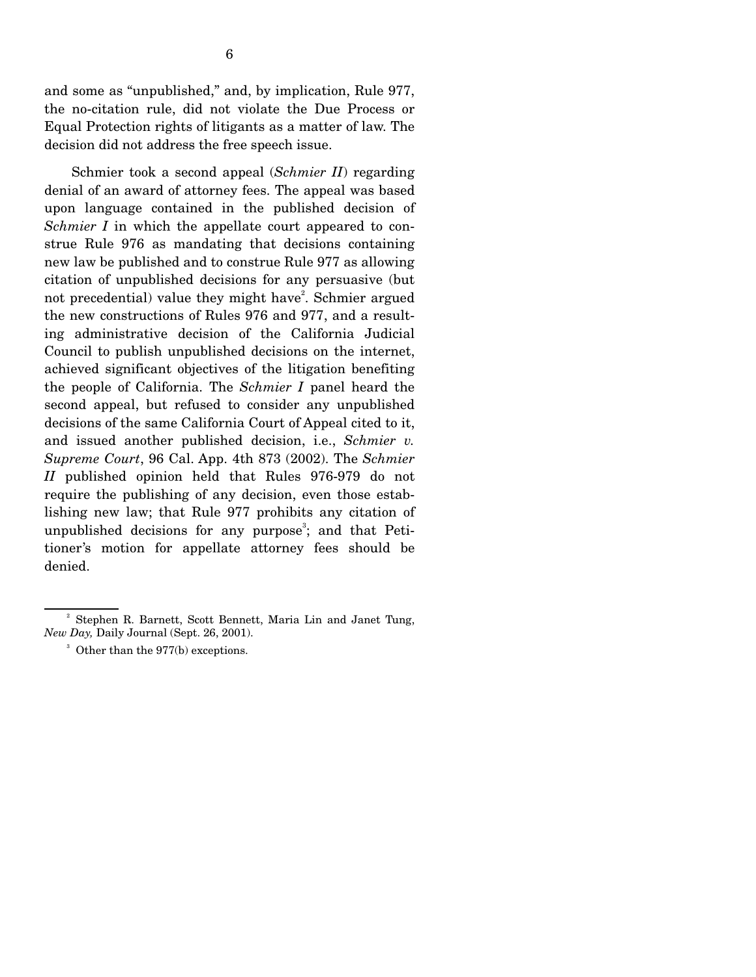and some as "unpublished," and, by implication, Rule 977, the no-citation rule, did not violate the Due Process or Equal Protection rights of litigants as a matter of law. The decision did not address the free speech issue.

 Schmier took a second appeal (*Schmier II*) regarding denial of an award of attorney fees. The appeal was based upon language contained in the published decision of *Schmier I* in which the appellate court appeared to construe Rule 976 as mandating that decisions containing new law be published and to construe Rule 977 as allowing citation of unpublished decisions for any persuasive (but not precedential) value they might have<sup>2</sup>. Schmier argued the new constructions of Rules 976 and 977, and a resulting administrative decision of the California Judicial Council to publish unpublished decisions on the internet, achieved significant objectives of the litigation benefiting the people of California. The *Schmier I* panel heard the second appeal, but refused to consider any unpublished decisions of the same California Court of Appeal cited to it, and issued another published decision, i.e., *Schmier v. Supreme Court*, 96 Cal. App. 4th 873 (2002). The *Schmier II* published opinion held that Rules 976-979 do not require the publishing of any decision, even those establishing new law; that Rule 977 prohibits any citation of unpublished decisions for any purpose<sup>3</sup>; and that Petitioner's motion for appellate attorney fees should be denied.

<sup>2</sup> Stephen R. Barnett, Scott Bennett, Maria Lin and Janet Tung, *New Day,* Daily Journal (Sept. 26, 2001).

<sup>&</sup>lt;sup>3</sup> Other than the 977(b) exceptions.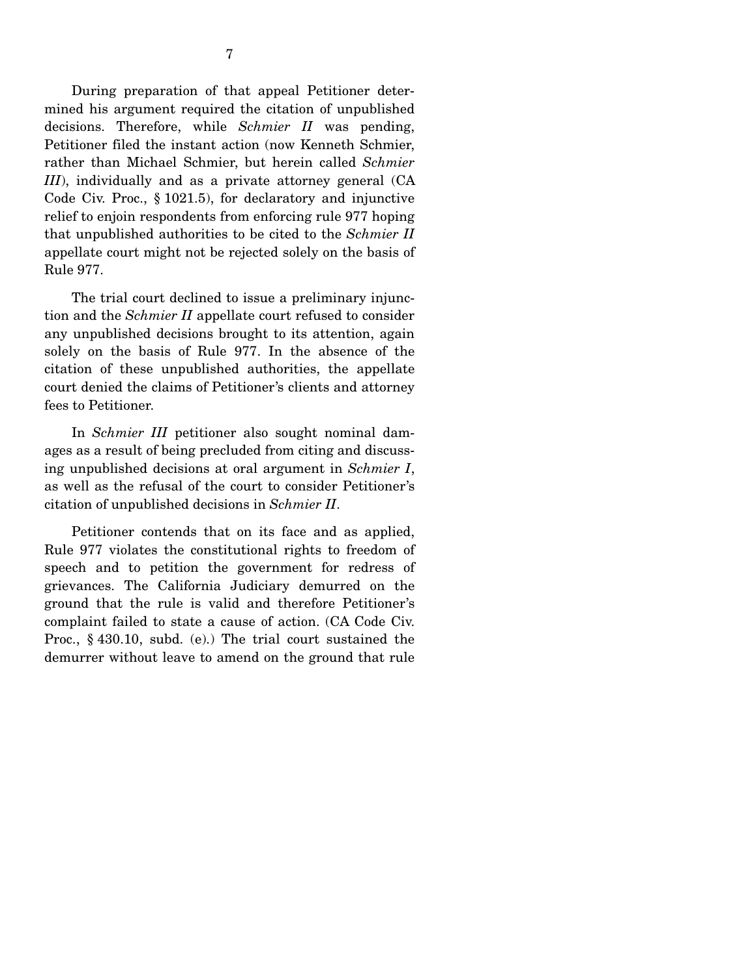During preparation of that appeal Petitioner determined his argument required the citation of unpublished decisions. Therefore, while *Schmier II* was pending, Petitioner filed the instant action (now Kenneth Schmier, rather than Michael Schmier, but herein called *Schmier III*), individually and as a private attorney general (CA Code Civ. Proc., § 1021.5), for declaratory and injunctive relief to enjoin respondents from enforcing rule 977 hoping that unpublished authorities to be cited to the *Schmier II* appellate court might not be rejected solely on the basis of Rule 977.

 The trial court declined to issue a preliminary injunction and the *Schmier II* appellate court refused to consider any unpublished decisions brought to its attention, again solely on the basis of Rule 977. In the absence of the citation of these unpublished authorities, the appellate court denied the claims of Petitioner's clients and attorney fees to Petitioner.

 In *Schmier III* petitioner also sought nominal damages as a result of being precluded from citing and discussing unpublished decisions at oral argument in *Schmier I*, as well as the refusal of the court to consider Petitioner's citation of unpublished decisions in *Schmier II*.

 Petitioner contends that on its face and as applied, Rule 977 violates the constitutional rights to freedom of speech and to petition the government for redress of grievances. The California Judiciary demurred on the ground that the rule is valid and therefore Petitioner's complaint failed to state a cause of action. (CA Code Civ. Proc., § 430.10, subd. (e).) The trial court sustained the demurrer without leave to amend on the ground that rule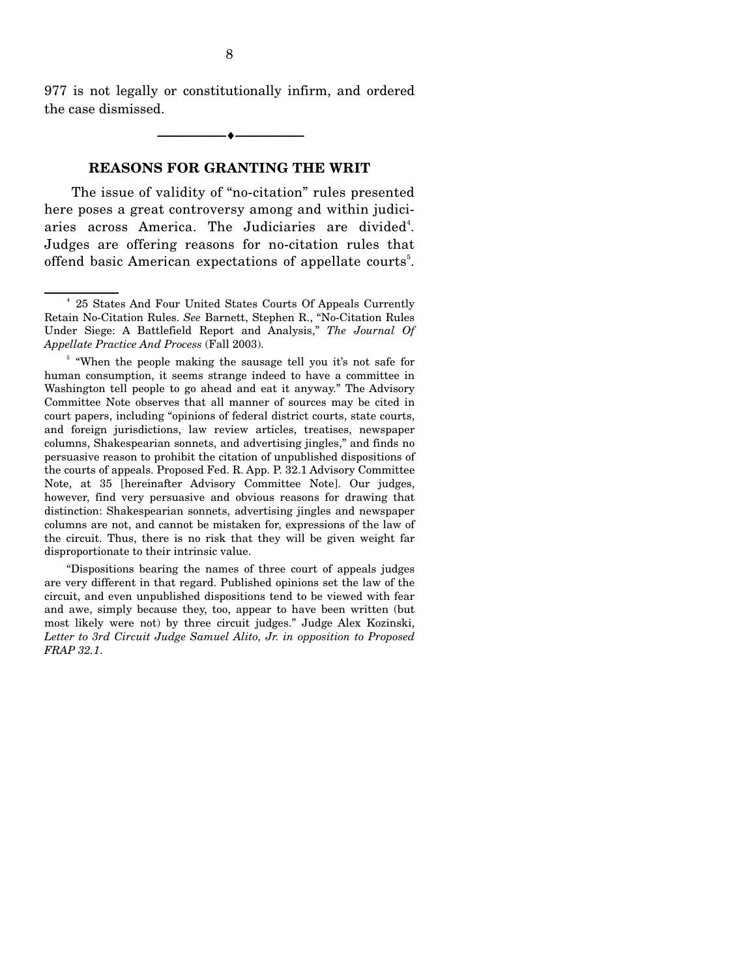977 is not legally or constitutionally infirm, and ordered the case dismissed.

--------------------------------- ♦ ---------------------------------

#### **REASONS FOR GRANTING THE WRIT**

 The issue of validity of "no-citation" rules presented here poses a great controversy among and within judiciaries across America. The Judiciaries are divided<sup>4</sup>. Judges are offering reasons for no-citation rules that offend basic American expectations of appellate courts<sup>5</sup>.

 "Dispositions bearing the names of three court of appeals judges are very different in that regard. Published opinions set the law of the circuit, and even unpublished dispositions tend to be viewed with fear and awe, simply because they, too, appear to have been written (but most likely were not) by three circuit judges." Judge Alex Kozinski, *Letter to 3rd Circuit Judge Samuel Alito, Jr. in opposition to Proposed FRAP 32.1*.

 $\sim$   $\frac{4}{3}$  25 States And Four United States Courts Of Appeals Currently Retain No-Citation Rules. *See* Barnett, Stephen R., "No-Citation Rules Under Siege: A Battlefield Report and Analysis," *The Journal Of Appellate Practice And Process* (Fall 2003).

<sup>&</sup>lt;sup>5</sup> "When the people making the sausage tell you it's not safe for human consumption, it seems strange indeed to have a committee in Washington tell people to go ahead and eat it anyway." The Advisory Committee Note observes that all manner of sources may be cited in court papers, including "opinions of federal district courts, state courts, and foreign jurisdictions, law review articles, treatises, newspaper columns, Shakespearian sonnets, and advertising jingles," and finds no persuasive reason to prohibit the citation of unpublished dispositions of the courts of appeals. Proposed Fed. R. App. P. 32.1 Advisory Committee Note, at 35 [hereinafter Advisory Committee Note]. Our judges, however, find very persuasive and obvious reasons for drawing that distinction: Shakespearian sonnets, advertising jingles and newspaper columns are not, and cannot be mistaken for, expressions of the law of the circuit. Thus, there is no risk that they will be given weight far disproportionate to their intrinsic value.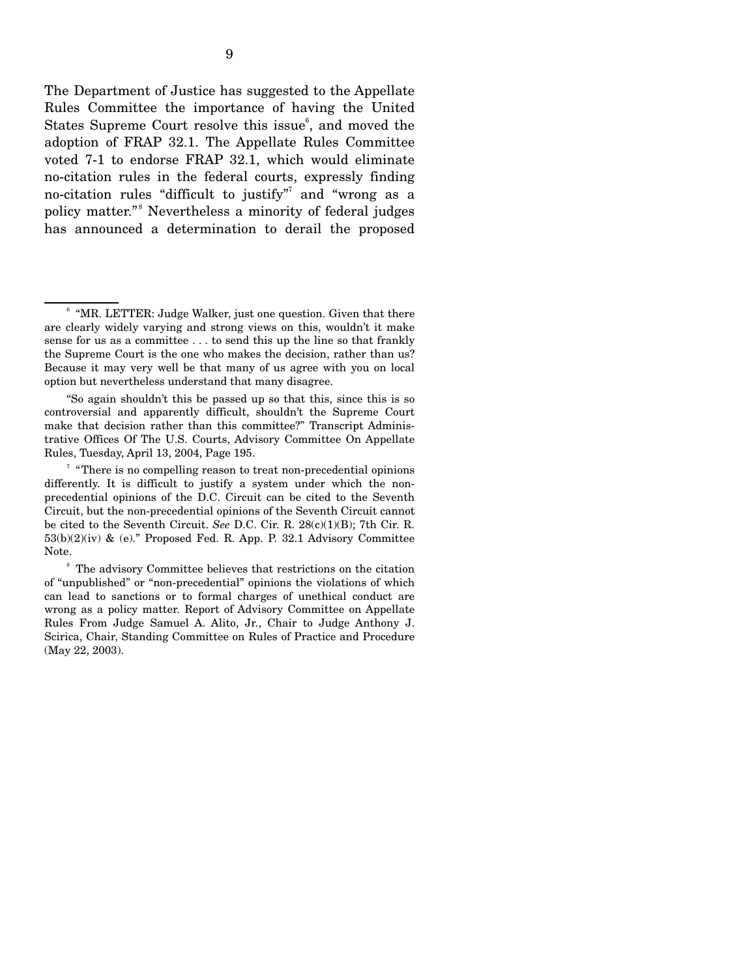The Department of Justice has suggested to the Appellate Rules Committee the importance of having the United States Supreme Court resolve this issue<sup>6</sup>, and moved the adoption of FRAP 32.1. The Appellate Rules Committee voted 7-1 to endorse FRAP 32.1, which would eliminate no-citation rules in the federal courts, expressly finding no-citation rules "difficult to justify" and "wrong as a policy matter."<sup>8</sup> Nevertheless a minority of federal judges has announced a determination to derail the proposed

<sup>&</sup>lt;sup>6</sup> "MR. LETTER: Judge Walker, just one question. Given that there are clearly widely varying and strong views on this, wouldn't it make sense for us as a committee . . . to send this up the line so that frankly the Supreme Court is the one who makes the decision, rather than us? Because it may very well be that many of us agree with you on local option but nevertheless understand that many disagree.

 <sup>&</sup>quot;So again shouldn't this be passed up so that this, since this is so controversial and apparently difficult, shouldn't the Supreme Court make that decision rather than this committee?" Transcript Administrative Offices Of The U.S. Courts, Advisory Committee On Appellate Rules, Tuesday, April 13, 2004, Page 195.

<sup>&</sup>lt;sup>7</sup> "There is no compelling reason to treat non-precedential opinions differently. It is difficult to justify a system under which the nonprecedential opinions of the D.C. Circuit can be cited to the Seventh Circuit, but the non-precedential opinions of the Seventh Circuit cannot be cited to the Seventh Circuit. *See* D.C. Cir. R. 28(c)(1)(B); 7th Cir. R.  $53(b)(2)(iv)$  & (e)." Proposed Fed. R. App. P. 32.1 Advisory Committee Note.

<sup>&</sup>lt;sup>8</sup> The advisory Committee believes that restrictions on the citation of "unpublished" or "non-precedential" opinions the violations of which can lead to sanctions or to formal charges of unethical conduct are wrong as a policy matter. Report of Advisory Committee on Appellate Rules From Judge Samuel A. Alito, Jr., Chair to Judge Anthony J. Scirica, Chair, Standing Committee on Rules of Practice and Procedure (May 22, 2003).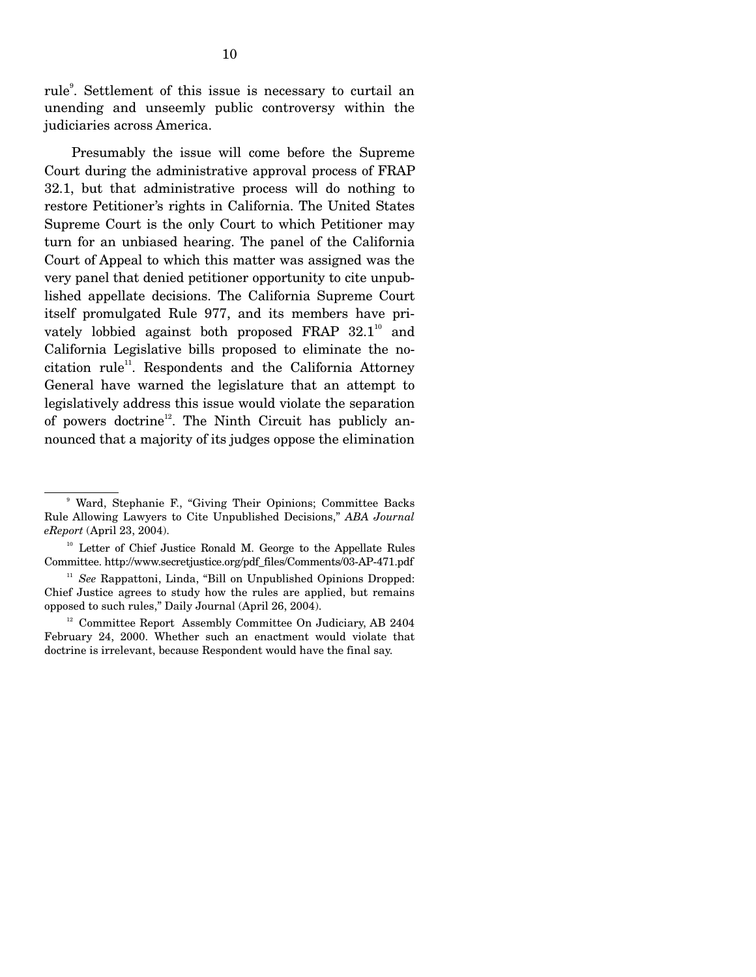rule<sup>9</sup>. Settlement of this issue is necessary to curtail an unending and unseemly public controversy within the judiciaries across America.

 Presumably the issue will come before the Supreme Court during the administrative approval process of FRAP 32.1, but that administrative process will do nothing to restore Petitioner's rights in California. The United States Supreme Court is the only Court to which Petitioner may turn for an unbiased hearing. The panel of the California Court of Appeal to which this matter was assigned was the very panel that denied petitioner opportunity to cite unpublished appellate decisions. The California Supreme Court itself promulgated Rule 977, and its members have privately lobbied against both proposed FRAP  $32.1^{\text{10}}$  and California Legislative bills proposed to eliminate the nocitation rule<sup>11</sup>. Respondents and the California Attorney General have warned the legislature that an attempt to legislatively address this issue would violate the separation of powers doctrine<sup>12</sup>. The Ninth Circuit has publicly announced that a majority of its judges oppose the elimination

<sup>9</sup> Ward, Stephanie F., "Giving Their Opinions; Committee Backs Rule Allowing Lawyers to Cite Unpublished Decisions," *ABA Journal eReport* (April 23, 2004).

<sup>&</sup>lt;sup>10</sup> Letter of Chief Justice Ronald M. George to the Appellate Rules Committee. http://www.secretjustice.org/pdf\_files/Comments/03-AP-471.pdf

<sup>&</sup>lt;sup>11</sup> *See* Rappattoni, Linda, "Bill on Unpublished Opinions Dropped: Chief Justice agrees to study how the rules are applied, but remains opposed to such rules," Daily Journal (April 26, 2004).

 $12$  Committee Report Assembly Committee On Judiciary, AB 2404 February 24, 2000. Whether such an enactment would violate that doctrine is irrelevant, because Respondent would have the final say.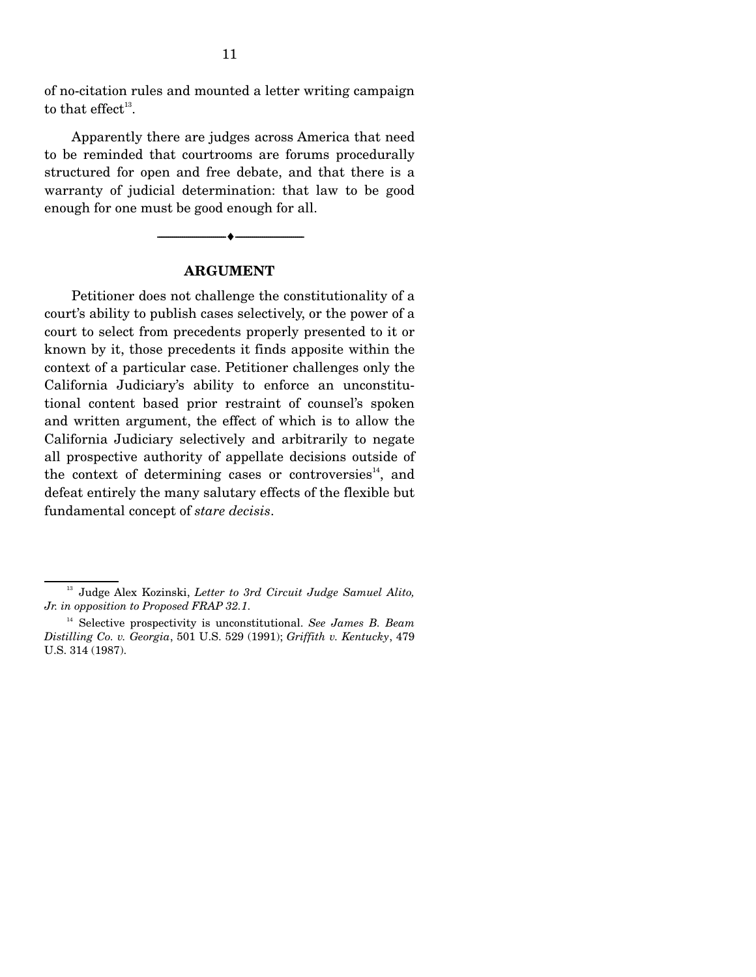of no-citation rules and mounted a letter writing campaign to that  $effect^{13}$ .

 Apparently there are judges across America that need to be reminded that courtrooms are forums procedurally structured for open and free debate, and that there is a warranty of judicial determination: that law to be good enough for one must be good enough for all.

# --------------------------------- ♦ --------------------------------- **ARGUMENT**

 Petitioner does not challenge the constitutionality of a court's ability to publish cases selectively, or the power of a court to select from precedents properly presented to it or known by it, those precedents it finds apposite within the context of a particular case. Petitioner challenges only the California Judiciary's ability to enforce an unconstitutional content based prior restraint of counsel's spoken and written argument, the effect of which is to allow the California Judiciary selectively and arbitrarily to negate all prospective authority of appellate decisions outside of the context of determining cases or controversies $14$ , and defeat entirely the many salutary effects of the flexible but fundamental concept of *stare decisis*.

13 Judge Alex Kozinski, *Letter to 3rd Circuit Judge Samuel Alito, Jr. in opposition to Proposed FRAP 32.1*.

14 Selective prospectivity is unconstitutional. *See James B. Beam Distilling Co. v. Georgia*, 501 U.S. 529 (1991); *Griffith v. Kentucky*, 479 U.S. 314 (1987).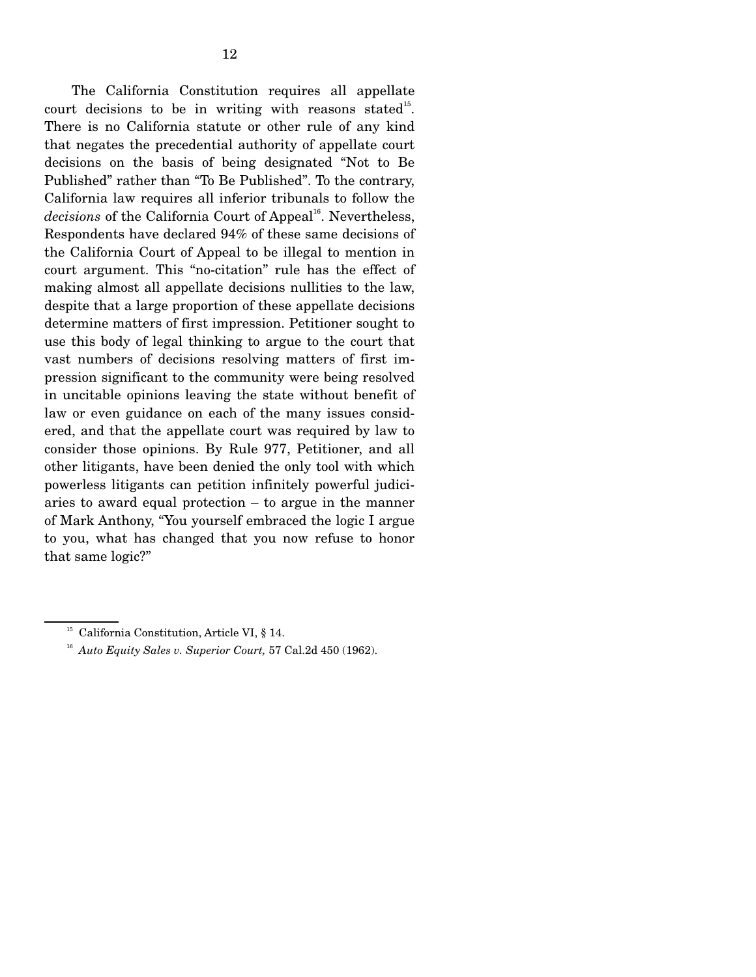The California Constitution requires all appellate court decisions to be in writing with reasons stated<sup>15</sup>. There is no California statute or other rule of any kind that negates the precedential authority of appellate court decisions on the basis of being designated "Not to Be Published" rather than "To Be Published". To the contrary, California law requires all inferior tribunals to follow the *decisions* of the California Court of Appeal<sup>16</sup>. Nevertheless, Respondents have declared 94% of these same decisions of the California Court of Appeal to be illegal to mention in court argument. This "no-citation" rule has the effect of making almost all appellate decisions nullities to the law, despite that a large proportion of these appellate decisions determine matters of first impression. Petitioner sought to use this body of legal thinking to argue to the court that vast numbers of decisions resolving matters of first impression significant to the community were being resolved in uncitable opinions leaving the state without benefit of law or even guidance on each of the many issues considered, and that the appellate court was required by law to consider those opinions. By Rule 977, Petitioner, and all other litigants, have been denied the only tool with which powerless litigants can petition infinitely powerful judiciaries to award equal protection – to argue in the manner of Mark Anthony, "You yourself embraced the logic I argue to you, what has changed that you now refuse to honor that same logic?"

<sup>&</sup>lt;sup>15</sup> California Constitution, Article VI, § 14.

<sup>16</sup> *Auto Equity Sales v. Superior Court,* 57 Cal.2d 450 (1962).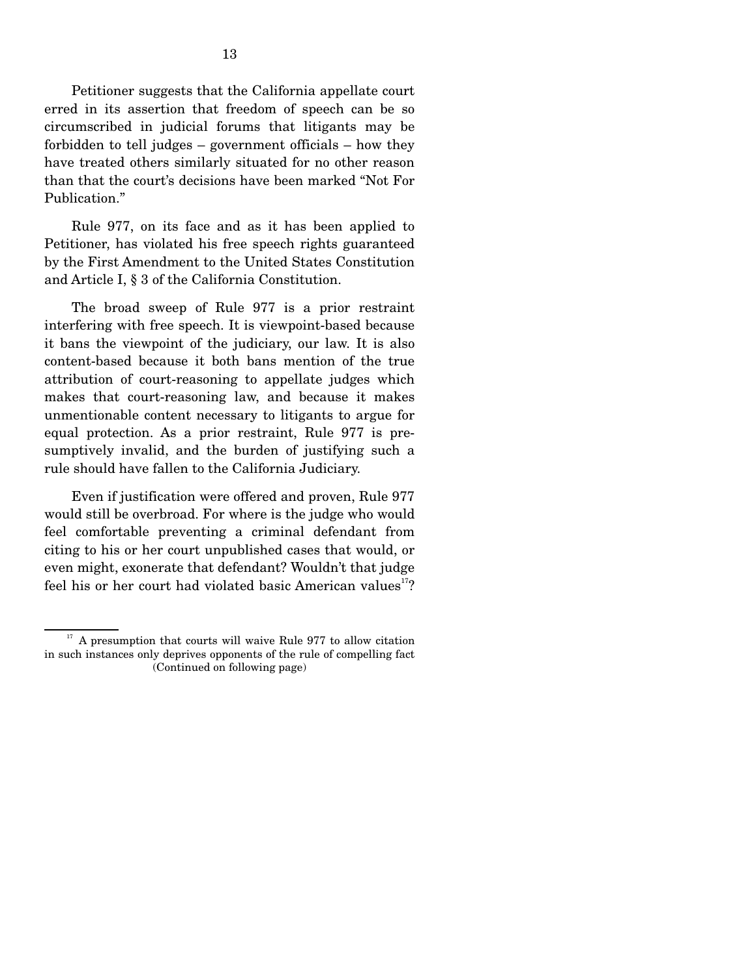Petitioner suggests that the California appellate court erred in its assertion that freedom of speech can be so circumscribed in judicial forums that litigants may be forbidden to tell judges – government officials – how they have treated others similarly situated for no other reason than that the court's decisions have been marked "Not For Publication."

 Rule 977, on its face and as it has been applied to Petitioner, has violated his free speech rights guaranteed by the First Amendment to the United States Constitution and Article I, § 3 of the California Constitution.

 The broad sweep of Rule 977 is a prior restraint interfering with free speech. It is viewpoint-based because it bans the viewpoint of the judiciary, our law. It is also content-based because it both bans mention of the true attribution of court-reasoning to appellate judges which makes that court-reasoning law, and because it makes unmentionable content necessary to litigants to argue for equal protection. As a prior restraint, Rule 977 is presumptively invalid, and the burden of justifying such a rule should have fallen to the California Judiciary.

 Even if justification were offered and proven, Rule 977 would still be overbroad. For where is the judge who would feel comfortable preventing a criminal defendant from citing to his or her court unpublished cases that would, or even might, exonerate that defendant? Wouldn't that judge feel his or her court had violated basic American values $17$ ?

 $17$  A presumption that courts will waive Rule 977 to allow citation in such instances only deprives opponents of the rule of compelling fact (Continued on following page)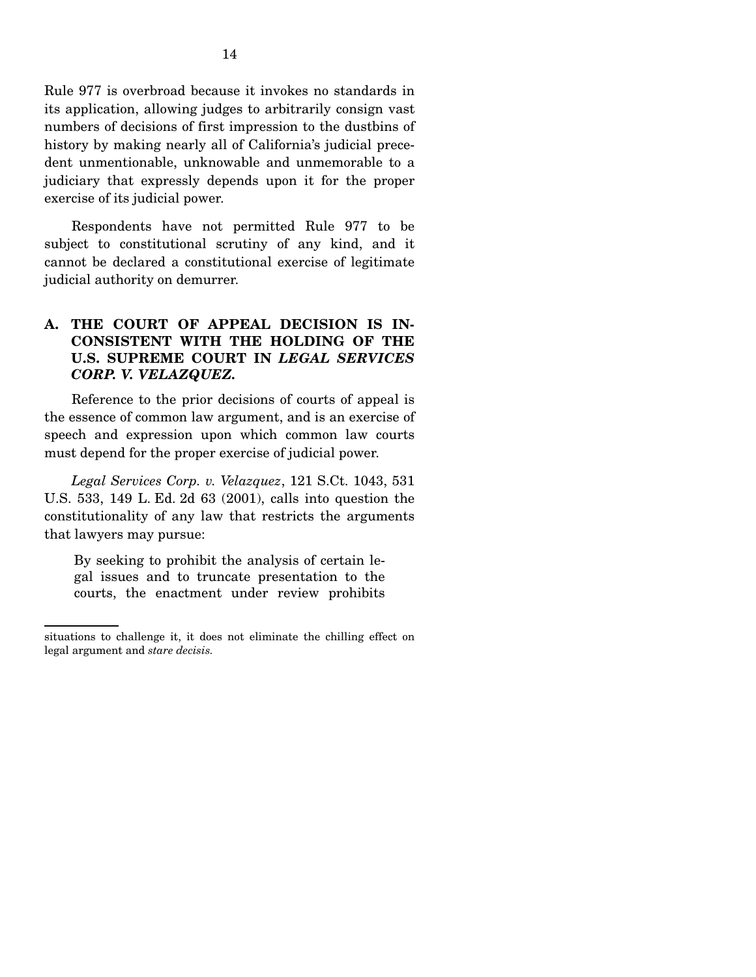Rule 977 is overbroad because it invokes no standards in its application, allowing judges to arbitrarily consign vast numbers of decisions of first impression to the dustbins of history by making nearly all of California's judicial precedent unmentionable, unknowable and unmemorable to a judiciary that expressly depends upon it for the proper exercise of its judicial power.

 Respondents have not permitted Rule 977 to be subject to constitutional scrutiny of any kind, and it cannot be declared a constitutional exercise of legitimate judicial authority on demurrer.

## **A. THE COURT OF APPEAL DECISION IS IN-CONSISTENT WITH THE HOLDING OF THE U.S. SUPREME COURT IN** *LEGAL SERVICES CORP. V. VELAZQUEZ.*

 Reference to the prior decisions of courts of appeal is the essence of common law argument, and is an exercise of speech and expression upon which common law courts must depend for the proper exercise of judicial power.

 *Legal Services Corp. v. Velazquez*, 121 S.Ct. 1043, 531 U.S. 533, 149 L. Ed. 2d 63 (2001), calls into question the constitutionality of any law that restricts the arguments that lawyers may pursue:

By seeking to prohibit the analysis of certain legal issues and to truncate presentation to the courts, the enactment under review prohibits

situations to challenge it, it does not eliminate the chilling effect on legal argument and *stare decisis.*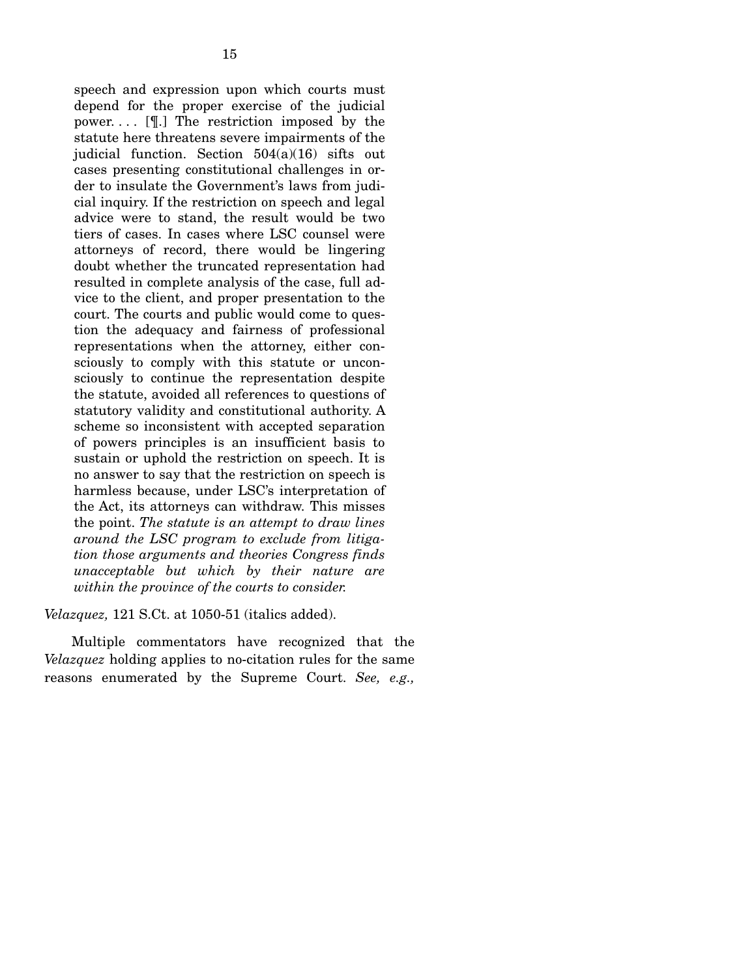speech and expression upon which courts must depend for the proper exercise of the judicial power. . . . [¶.] The restriction imposed by the statute here threatens severe impairments of the judicial function. Section 504(a)(16) sifts out cases presenting constitutional challenges in order to insulate the Government's laws from judicial inquiry. If the restriction on speech and legal advice were to stand, the result would be two tiers of cases. In cases where LSC counsel were attorneys of record, there would be lingering doubt whether the truncated representation had resulted in complete analysis of the case, full advice to the client, and proper presentation to the court. The courts and public would come to question the adequacy and fairness of professional representations when the attorney, either consciously to comply with this statute or unconsciously to continue the representation despite the statute, avoided all references to questions of statutory validity and constitutional authority. A scheme so inconsistent with accepted separation of powers principles is an insufficient basis to sustain or uphold the restriction on speech. It is no answer to say that the restriction on speech is harmless because, under LSC's interpretation of the Act, its attorneys can withdraw. This misses the point. *The statute is an attempt to draw lines around the LSC program to exclude from litigation those arguments and theories Congress finds unacceptable but which by their nature are within the province of the courts to consider.* 

#### *Velazquez,* 121 S.Ct. at 1050-51 (italics added).

 Multiple commentators have recognized that the *Velazquez* holding applies to no-citation rules for the same reasons enumerated by the Supreme Court. *See, e.g.,*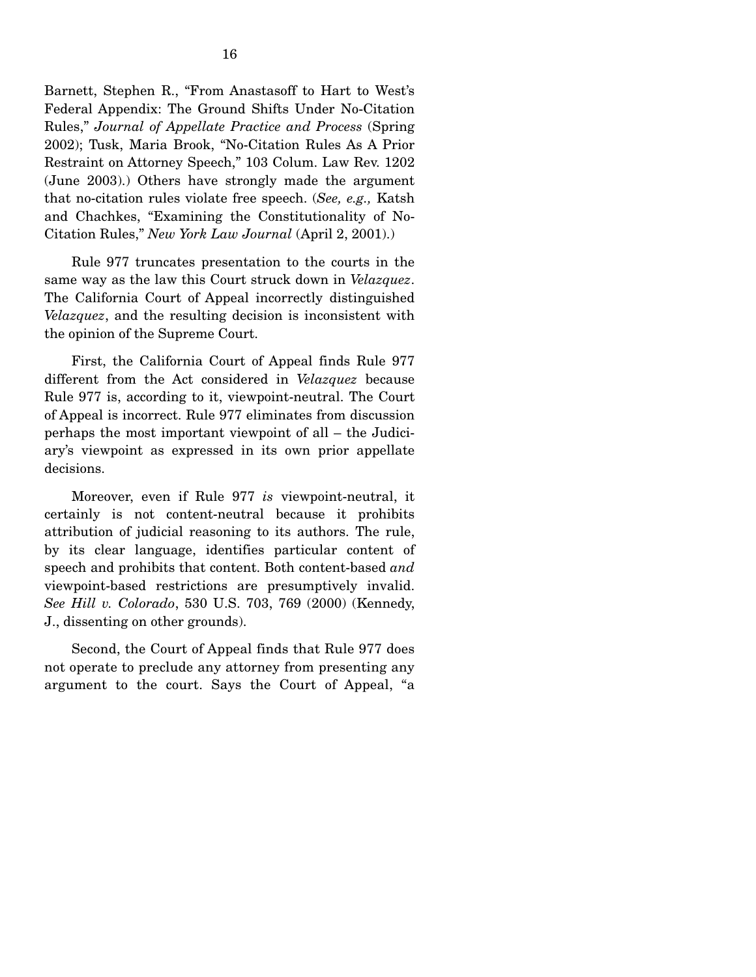Barnett, Stephen R., "From Anastasoff to Hart to West's Federal Appendix: The Ground Shifts Under No-Citation Rules," *Journal of Appellate Practice and Process* (Spring 2002); Tusk, Maria Brook, "No-Citation Rules As A Prior Restraint on Attorney Speech," 103 Colum. Law Rev. 1202 (June 2003).) Others have strongly made the argument that no-citation rules violate free speech. (*See, e.g.,* Katsh and Chachkes, "Examining the Constitutionality of No-Citation Rules," *New York Law Journal* (April 2, 2001).)

 Rule 977 truncates presentation to the courts in the same way as the law this Court struck down in *Velazquez*. The California Court of Appeal incorrectly distinguished *Velazquez*, and the resulting decision is inconsistent with the opinion of the Supreme Court.

 First, the California Court of Appeal finds Rule 977 different from the Act considered in *Velazquez* because Rule 977 is, according to it, viewpoint-neutral. The Court of Appeal is incorrect. Rule 977 eliminates from discussion perhaps the most important viewpoint of all – the Judiciary's viewpoint as expressed in its own prior appellate decisions.

 Moreover, even if Rule 977 *is* viewpoint-neutral, it certainly is not content-neutral because it prohibits attribution of judicial reasoning to its authors. The rule, by its clear language, identifies particular content of speech and prohibits that content. Both content-based *and* viewpoint-based restrictions are presumptively invalid. *See Hill v. Colorado*, 530 U.S. 703, 769 (2000) (Kennedy, J., dissenting on other grounds).

 Second, the Court of Appeal finds that Rule 977 does not operate to preclude any attorney from presenting any argument to the court. Says the Court of Appeal, "a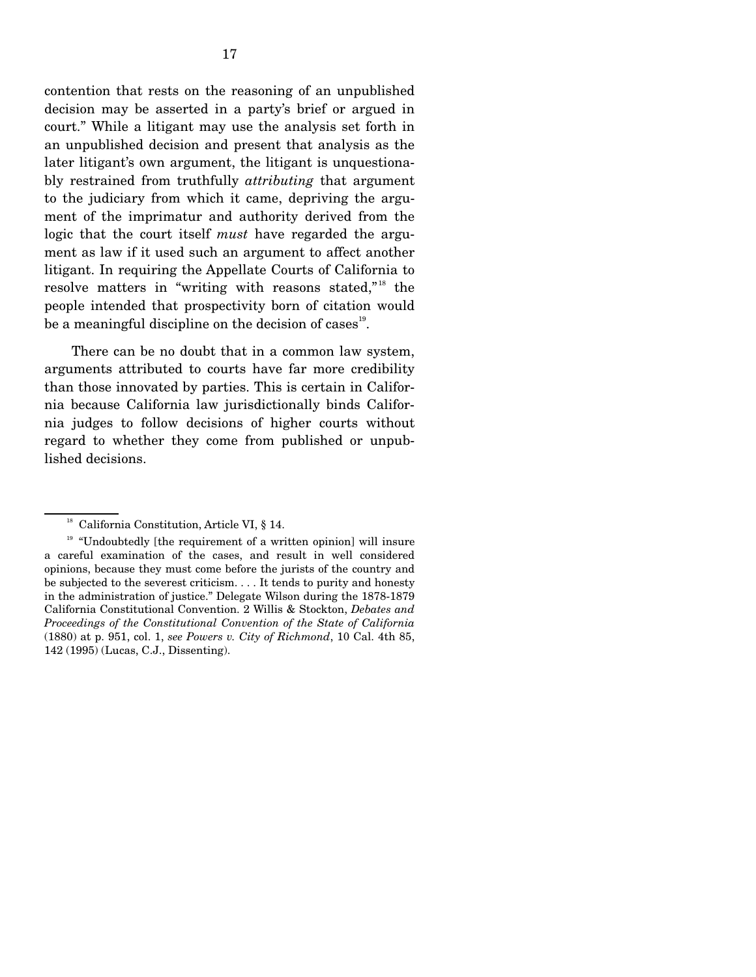contention that rests on the reasoning of an unpublished decision may be asserted in a party's brief or argued in court." While a litigant may use the analysis set forth in an unpublished decision and present that analysis as the later litigant's own argument, the litigant is unquestionably restrained from truthfully *attributing* that argument to the judiciary from which it came, depriving the argument of the imprimatur and authority derived from the logic that the court itself *must* have regarded the argument as law if it used such an argument to affect another litigant. In requiring the Appellate Courts of California to resolve matters in "writing with reasons stated,"  $8^{\circ}$  the people intended that prospectivity born of citation would be a meaningful discipline on the decision of cases<sup>19</sup>.

 There can be no doubt that in a common law system, arguments attributed to courts have far more credibility than those innovated by parties. This is certain in California because California law jurisdictionally binds California judges to follow decisions of higher courts without regard to whether they come from published or unpublished decisions.

<sup>&</sup>lt;sup>18</sup> California Constitution, Article VI, § 14.

 $19$  "Undoubtedly [the requirement of a written opinion] will insure a careful examination of the cases, and result in well considered opinions, because they must come before the jurists of the country and be subjected to the severest criticism. . . . It tends to purity and honesty in the administration of justice." Delegate Wilson during the 1878-1879 California Constitutional Convention. 2 Willis & Stockton, *Debates and Proceedings of the Constitutional Convention of the State of California* (1880) at p. 951, col. 1, *see Powers v. City of Richmond*, 10 Cal. 4th 85, 142 (1995) (Lucas, C.J., Dissenting).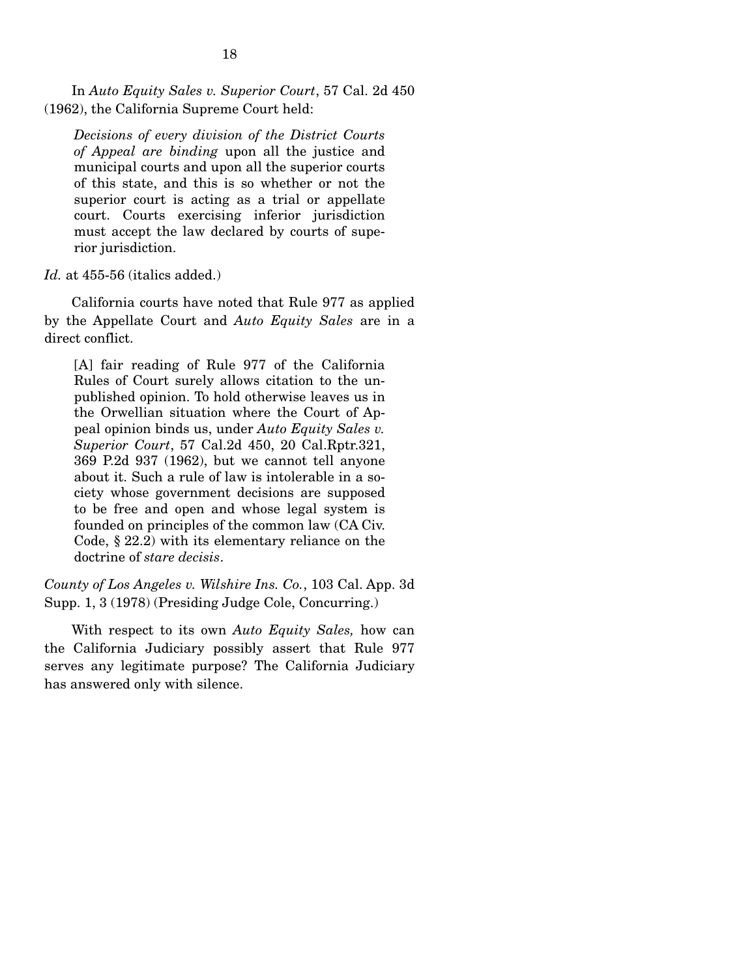In *Auto Equity Sales v. Superior Court*, 57 Cal. 2d 450 (1962), the California Supreme Court held:

*Decisions of every division of the District Courts of Appeal are binding* upon all the justice and municipal courts and upon all the superior courts of this state, and this is so whether or not the superior court is acting as a trial or appellate court. Courts exercising inferior jurisdiction must accept the law declared by courts of superior jurisdiction.

#### *Id.* at 455-56 (italics added.)

California courts have noted that Rule 977 as applied by the Appellate Court and *Auto Equity Sales* are in a direct conflict.

[A] fair reading of Rule 977 of the California Rules of Court surely allows citation to the unpublished opinion. To hold otherwise leaves us in the Orwellian situation where the Court of Appeal opinion binds us, under *Auto Equity Sales v. Superior Court*, 57 Cal.2d 450, 20 Cal.Rptr.321, 369 P.2d 937 (1962), but we cannot tell anyone about it. Such a rule of law is intolerable in a society whose government decisions are supposed to be free and open and whose legal system is founded on principles of the common law (CA Civ. Code, § 22.2) with its elementary reliance on the doctrine of *stare decisis*.

*County of Los Angeles v. Wilshire Ins. Co.*, 103 Cal. App. 3d Supp. 1, 3 (1978) (Presiding Judge Cole, Concurring.)

 With respect to its own *Auto Equity Sales,* how can the California Judiciary possibly assert that Rule 977 serves any legitimate purpose? The California Judiciary has answered only with silence.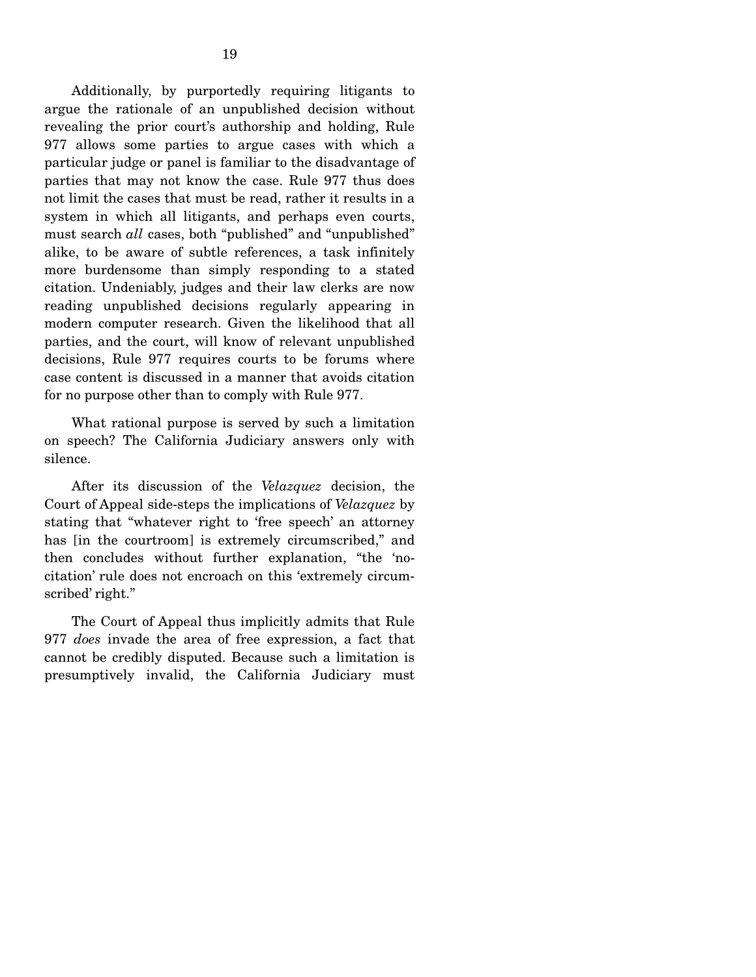Additionally, by purportedly requiring litigants to argue the rationale of an unpublished decision without revealing the prior court's authorship and holding, Rule 977 allows some parties to argue cases with which a particular judge or panel is familiar to the disadvantage of parties that may not know the case. Rule 977 thus does not limit the cases that must be read, rather it results in a system in which all litigants, and perhaps even courts, must search *all* cases, both "published" and "unpublished" alike, to be aware of subtle references, a task infinitely more burdensome than simply responding to a stated citation. Undeniably, judges and their law clerks are now reading unpublished decisions regularly appearing in modern computer research. Given the likelihood that all parties, and the court, will know of relevant unpublished decisions, Rule 977 requires courts to be forums where case content is discussed in a manner that avoids citation for no purpose other than to comply with Rule 977.

 What rational purpose is served by such a limitation on speech? The California Judiciary answers only with silence.

 After its discussion of the *Velazquez* decision, the Court of Appeal side-steps the implications of *Velazquez* by stating that "whatever right to 'free speech' an attorney has [in the courtroom] is extremely circumscribed," and then concludes without further explanation, "the 'nocitation' rule does not encroach on this 'extremely circumscribed' right."

 The Court of Appeal thus implicitly admits that Rule 977 *does* invade the area of free expression, a fact that cannot be credibly disputed. Because such a limitation is presumptively invalid, the California Judiciary must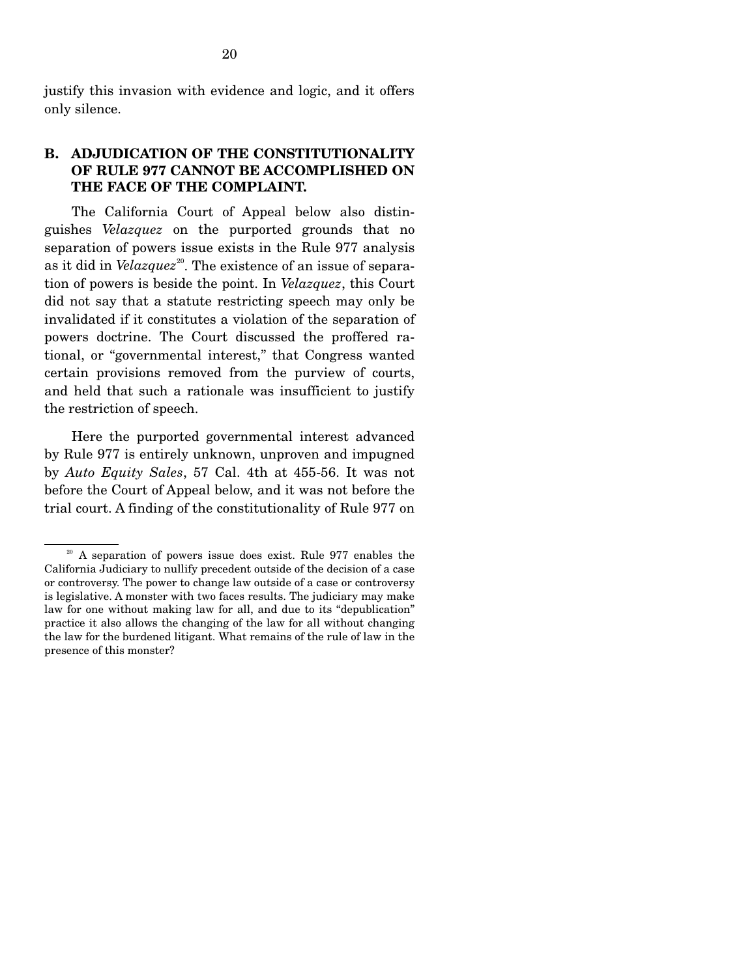justify this invasion with evidence and logic, and it offers only silence.

## **B. ADJUDICATION OF THE CONSTITUTIONALITY OF RULE 977 CANNOT BE ACCOMPLISHED ON THE FACE OF THE COMPLAINT.**

 The California Court of Appeal below also distinguishes *Velazquez* on the purported grounds that no separation of powers issue exists in the Rule 977 analysis as it did in *Velazquez*<sup>20</sup>. The existence of an issue of separation of powers is beside the point. In *Velazquez*, this Court did not say that a statute restricting speech may only be invalidated if it constitutes a violation of the separation of powers doctrine. The Court discussed the proffered rational, or "governmental interest," that Congress wanted certain provisions removed from the purview of courts, and held that such a rationale was insufficient to justify the restriction of speech.

 Here the purported governmental interest advanced by Rule 977 is entirely unknown, unproven and impugned by *Auto Equity Sales*, 57 Cal. 4th at 455-56. It was not before the Court of Appeal below, and it was not before the trial court. A finding of the constitutionality of Rule 977 on

 $20^{\circ}$  A separation of powers issue does exist. Rule 977 enables the California Judiciary to nullify precedent outside of the decision of a case or controversy. The power to change law outside of a case or controversy is legislative. A monster with two faces results. The judiciary may make law for one without making law for all, and due to its "depublication" practice it also allows the changing of the law for all without changing the law for the burdened litigant. What remains of the rule of law in the presence of this monster?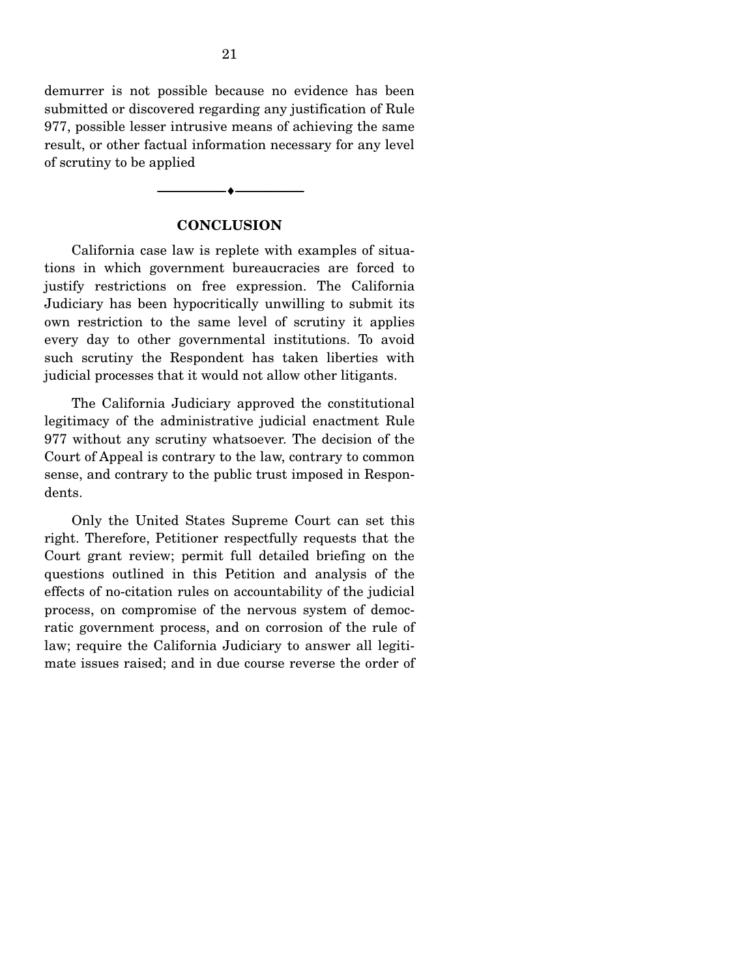demurrer is not possible because no evidence has been submitted or discovered regarding any justification of Rule 977, possible lesser intrusive means of achieving the same result, or other factual information necessary for any level of scrutiny to be applied

#### **CONCLUSION**

--------------------------------- ♦ ---------------------------------

 California case law is replete with examples of situations in which government bureaucracies are forced to justify restrictions on free expression. The California Judiciary has been hypocritically unwilling to submit its own restriction to the same level of scrutiny it applies every day to other governmental institutions. To avoid such scrutiny the Respondent has taken liberties with judicial processes that it would not allow other litigants.

 The California Judiciary approved the constitutional legitimacy of the administrative judicial enactment Rule 977 without any scrutiny whatsoever. The decision of the Court of Appeal is contrary to the law, contrary to common sense, and contrary to the public trust imposed in Respondents.

 Only the United States Supreme Court can set this right. Therefore, Petitioner respectfully requests that the Court grant review; permit full detailed briefing on the questions outlined in this Petition and analysis of the effects of no-citation rules on accountability of the judicial process, on compromise of the nervous system of democratic government process, and on corrosion of the rule of law; require the California Judiciary to answer all legitimate issues raised; and in due course reverse the order of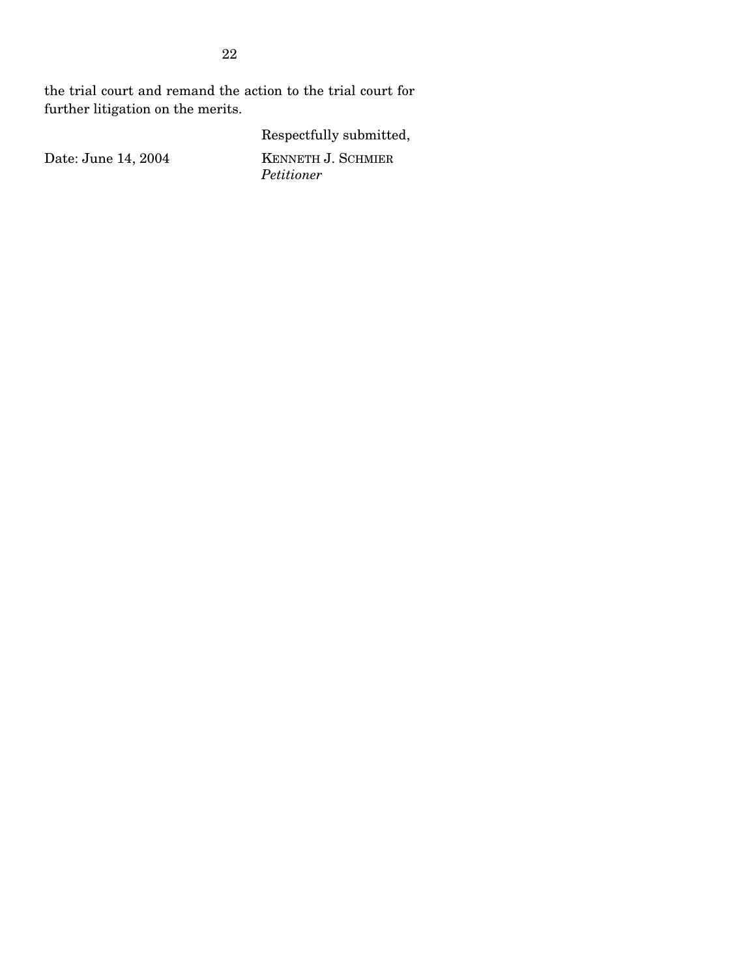the trial court and remand the action to the trial court for further litigation on the merits.

Respectfully submitted,

Date: June 14, 2004 KENNETH J. SCHMIER *Petitioner*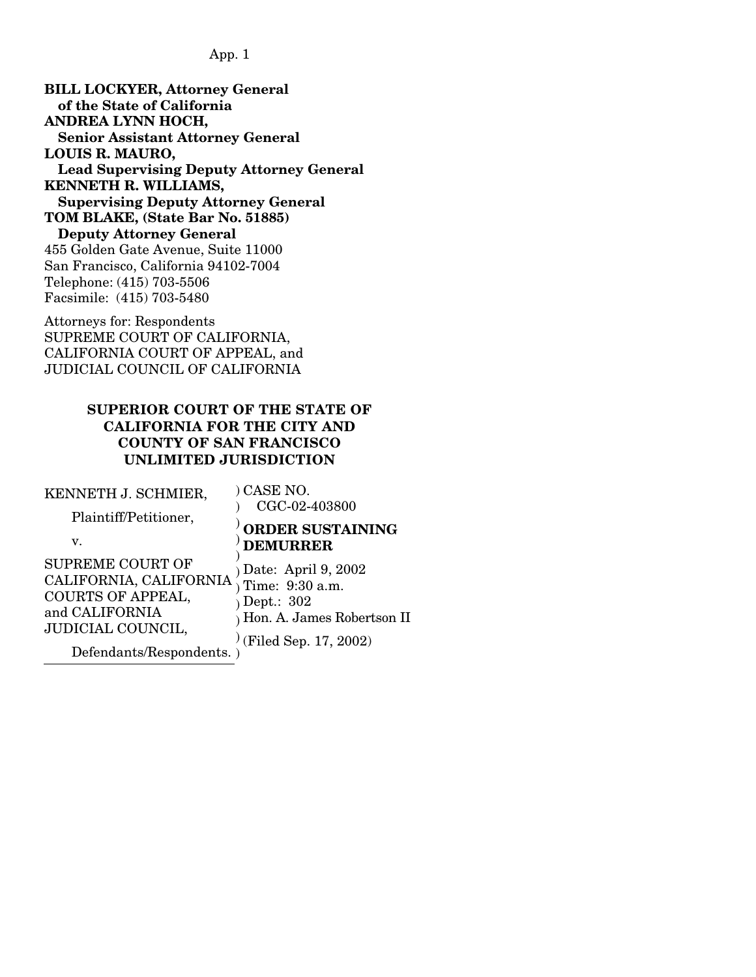**BILL LOCKYER, Attorney General of the State of California ANDREA LYNN HOCH, Senior Assistant Attorney General LOUIS R. MAURO, Lead Supervising Deputy Attorney General KENNETH R. WILLIAMS, Supervising Deputy Attorney General TOM BLAKE, (State Bar No. 51885) Deputy Attorney General**  455 Golden Gate Avenue, Suite 11000 San Francisco, California 94102-7004 Telephone: (415) 703-5506 Facsimile: (415) 703-5480

Attorneys for: Respondents SUPREME COURT OF CALIFORNIA, CALIFORNIA COURT OF APPEAL, and JUDICIAL COUNCIL OF CALIFORNIA

## **SUPERIOR COURT OF THE STATE OF CALIFORNIA FOR THE CITY AND COUNTY OF SAN FRANCISCO UNLIMITED JURISDICTION**

| KENNETH J. SCHMIER,                                                                                                                             | ) CASE NO.<br>CGC-02-403800                                                                                             |
|-------------------------------------------------------------------------------------------------------------------------------------------------|-------------------------------------------------------------------------------------------------------------------------|
| Plaintiff/Petitioner,<br>v.                                                                                                                     | ORDER SUSTAINING<br><b>DEMURRER</b>                                                                                     |
| <b>SUPREME COURT OF</b><br>CALIFORNIA, CALIFORNIA<br>COURTS OF APPEAL,<br>and CALIFORNIA<br><b>JUDICIAL COUNCIL,</b><br>Defendants/Respondents. | ) Date: April 9, 2002<br>) Time: 9:30 a.m.<br>) Dept.: 302<br>Hon. A. James Robertson II<br>$(x)$ (Filed Sep. 17, 2002) |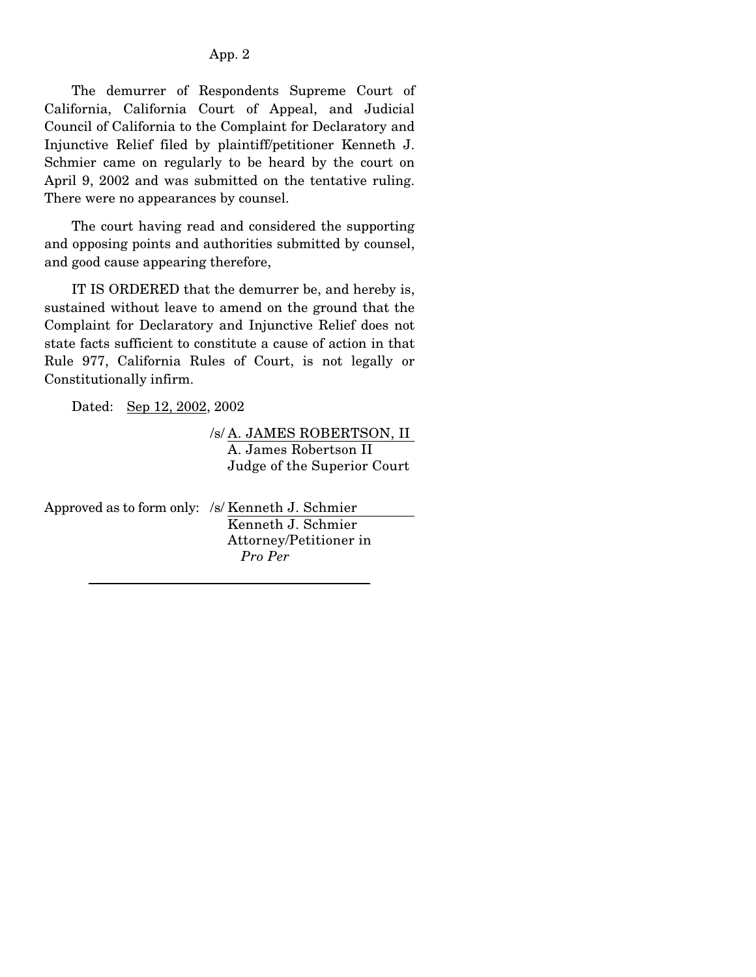The demurrer of Respondents Supreme Court of California, California Court of Appeal, and Judicial Council of California to the Complaint for Declaratory and Injunctive Relief filed by plaintiff/petitioner Kenneth J. Schmier came on regularly to be heard by the court on April 9, 2002 and was submitted on the tentative ruling. There were no appearances by counsel.

 The court having read and considered the supporting and opposing points and authorities submitted by counsel, and good cause appearing therefore,

 IT IS ORDERED that the demurrer be, and hereby is, sustained without leave to amend on the ground that the Complaint for Declaratory and Injunctive Relief does not state facts sufficient to constitute a cause of action in that Rule 977, California Rules of Court, is not legally or Constitutionally infirm.

Dated: Sep 12, 2002, 2002

/s/ A. JAMES ROBERTSON, II A. James Robertson II Judge of the Superior Court

Approved as to form only: /s/ Kenneth J. Schmier Kenneth J. Schmier Attorney/Petitioner in *Pro Per*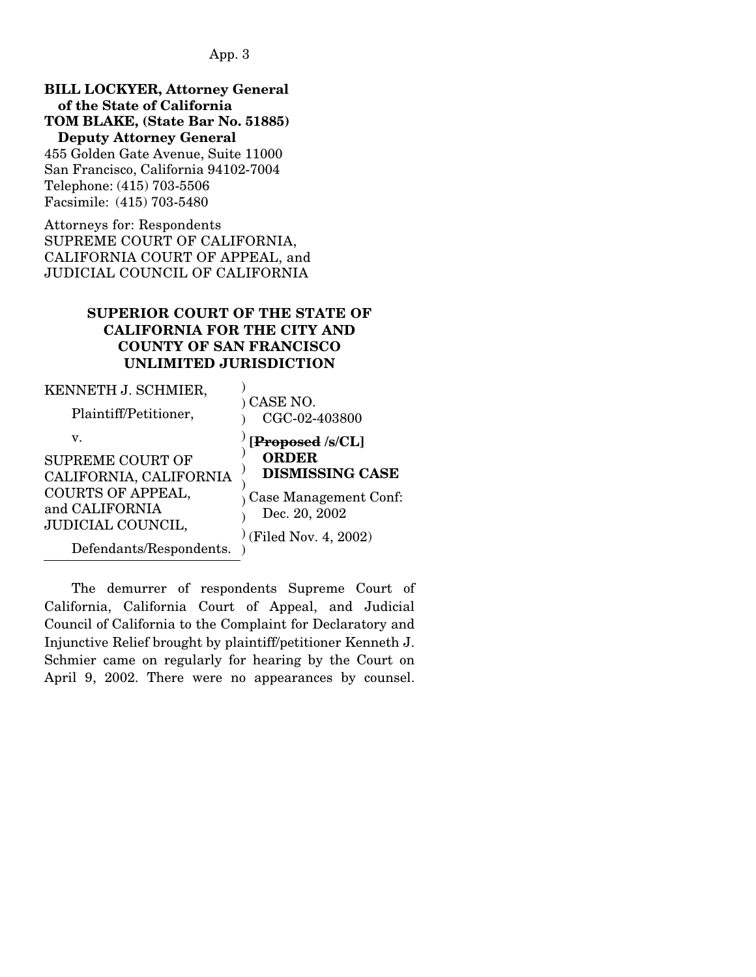**BILL LOCKYER, Attorney General of the State of California TOM BLAKE, (State Bar No. 51885) Deputy Attorney General**  455 Golden Gate Avenue, Suite 11000 San Francisco, California 94102-7004 Telephone: (415) 703-5506

Facsimile: (415) 703-5480

Attorneys for: Respondents SUPREME COURT OF CALIFORNIA, CALIFORNIA COURT OF APPEAL, and JUDICIAL COUNCIL OF CALIFORNIA

## **SUPERIOR COURT OF THE STATE OF CALIFORNIA FOR THE CITY AND COUNTY OF SAN FRANCISCO UNLIMITED JURISDICTION**

)

KENNETH J. SCHMIER,

| Plaintiff/Petitioner,    | ) CASE NO.<br>CGC-02-403800 |
|--------------------------|-----------------------------|
| v.                       | [Proposed /s/CL]            |
| SUPREME COURT OF         | <b>ORDER</b>                |
| CALIFORNIA, CALIFORNIA   | <b>DISMISSING CASE</b>      |
| <b>COURTS OF APPEAL,</b> | Case Management Conf:       |
| and CALIFORNIA           | Dec. 20, 2002               |
| <b>JUDICIAL COUNCIL,</b> |                             |
| Defendants/Respondents.  | $($ Filed Nov. 4, 2002)     |

 The demurrer of respondents Supreme Court of California, California Court of Appeal, and Judicial Council of California to the Complaint for Declaratory and Injunctive Relief brought by plaintiff/petitioner Kenneth J. Schmier came on regularly for hearing by the Court on April 9, 2002. There were no appearances by counsel.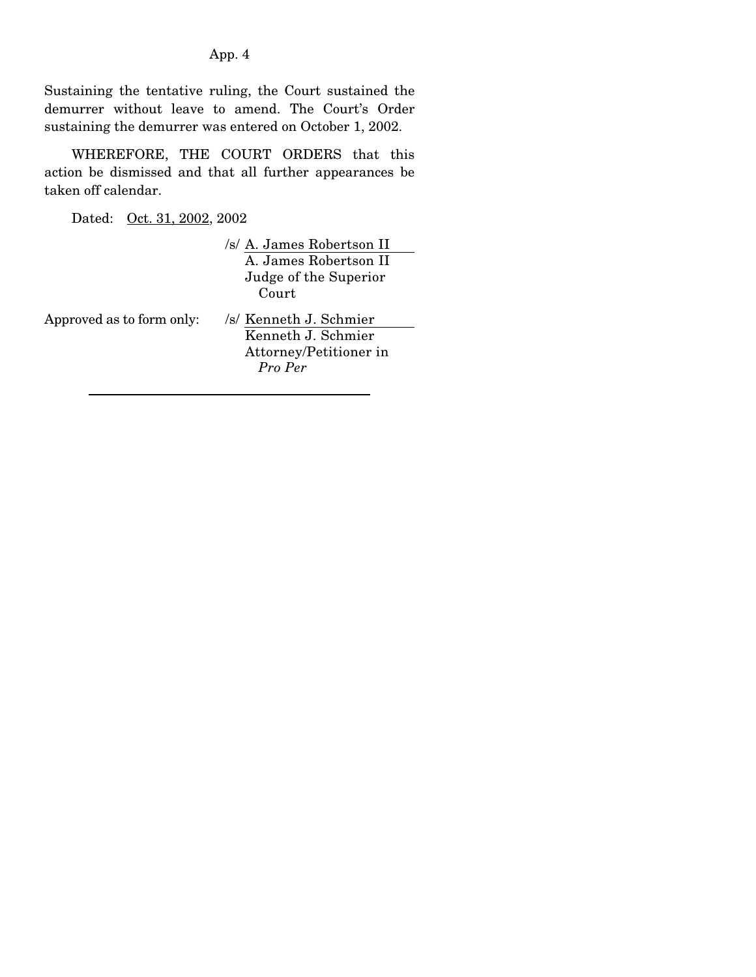Sustaining the tentative ruling, the Court sustained the demurrer without leave to amend. The Court's Order sustaining the demurrer was entered on October 1, 2002.

 WHEREFORE, THE COURT ORDERS that this action be dismissed and that all further appearances be taken off calendar.

Dated: Oct. 31, 2002, 2002

/s/ A. James Robertson II A. James Robertson II Judge of the Superior Court Approved as to form only: /s/ Kenneth J. Schmier Kenneth J. Schmier Attorney/Petitioner in *Pro Per*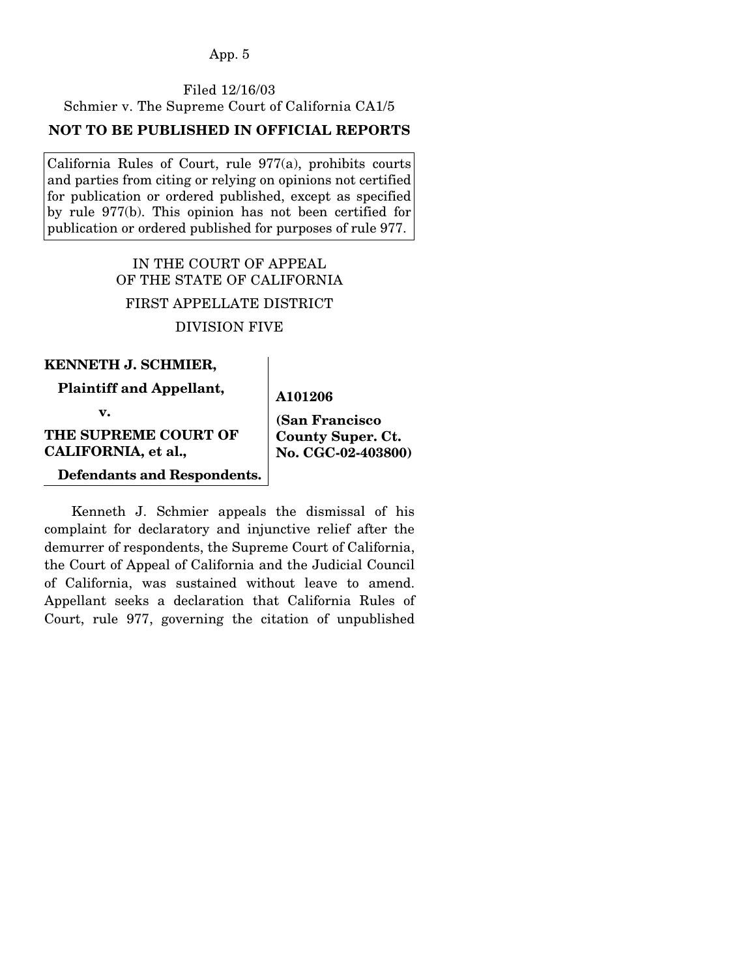# Filed 12/16/03 Schmier v. The Supreme Court of California CA1/5

## **NOT TO BE PUBLISHED IN OFFICIAL REPORTS**

California Rules of Court, rule 977(a), prohibits courts and parties from citing or relying on opinions not certified for publication or ordered published, except as specified by rule 977(b). This opinion has not been certified for publication or ordered published for purposes of rule 977.

## IN THE COURT OF APPEAL OF THE STATE OF CALIFORNIA FIRST APPELLATE DISTRICT

#### DIVISION FIVE

## **KENNETH J. SCHMIER,**

 **Plaintiff and Appellant,** 

 **v.** 

**THE SUPREME COURT OF CALIFORNIA, et al.,** 

**(San Francisco County Super. Ct. No. CGC-02-403800)**

**A101206** 

 **Defendants and Respondents.**

 Kenneth J. Schmier appeals the dismissal of his complaint for declaratory and injunctive relief after the demurrer of respondents, the Supreme Court of California, the Court of Appeal of California and the Judicial Council of California, was sustained without leave to amend. Appellant seeks a declaration that California Rules of Court, rule 977, governing the citation of unpublished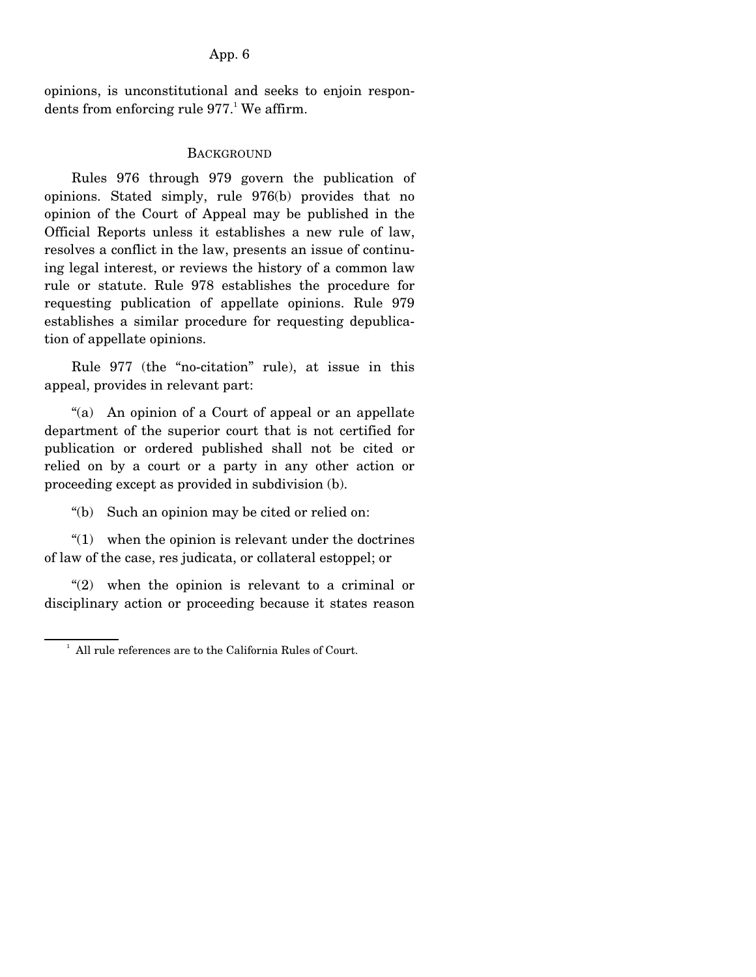opinions, is unconstitutional and seeks to enjoin respondents from enforcing rule  $977.<sup>1</sup>$  We affirm.

#### **BACKGROUND**

 Rules 976 through 979 govern the publication of opinions. Stated simply, rule 976(b) provides that no opinion of the Court of Appeal may be published in the Official Reports unless it establishes a new rule of law, resolves a conflict in the law, presents an issue of continuing legal interest, or reviews the history of a common law rule or statute. Rule 978 establishes the procedure for requesting publication of appellate opinions. Rule 979 establishes a similar procedure for requesting depublication of appellate opinions.

 Rule 977 (the "no-citation" rule), at issue in this appeal, provides in relevant part:

 "(a) An opinion of a Court of appeal or an appellate department of the superior court that is not certified for publication or ordered published shall not be cited or relied on by a court or a party in any other action or proceeding except as provided in subdivision (b).

"(b) Such an opinion may be cited or relied on:

 "(1) when the opinion is relevant under the doctrines of law of the case, res judicata, or collateral estoppel; or

 "(2) when the opinion is relevant to a criminal or disciplinary action or proceeding because it states reason

<sup>&</sup>lt;sup>1</sup> All rule references are to the California Rules of Court.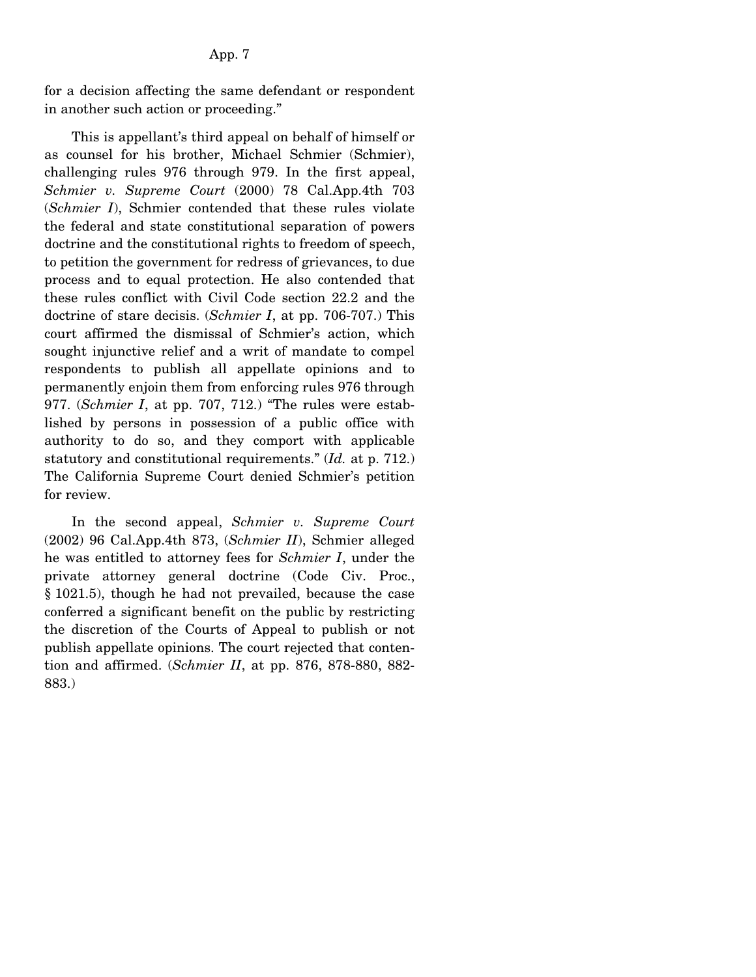for a decision affecting the same defendant or respondent in another such action or proceeding."

 This is appellant's third appeal on behalf of himself or as counsel for his brother, Michael Schmier (Schmier), challenging rules 976 through 979. In the first appeal, *Schmier v. Supreme Court* (2000) 78 Cal.App.4th 703 (*Schmier I*), Schmier contended that these rules violate the federal and state constitutional separation of powers doctrine and the constitutional rights to freedom of speech, to petition the government for redress of grievances, to due process and to equal protection. He also contended that these rules conflict with Civil Code section 22.2 and the doctrine of stare decisis. (*Schmier I*, at pp. 706-707.) This court affirmed the dismissal of Schmier's action, which sought injunctive relief and a writ of mandate to compel respondents to publish all appellate opinions and to permanently enjoin them from enforcing rules 976 through 977. (*Schmier I*, at pp. 707, 712.) "The rules were established by persons in possession of a public office with authority to do so, and they comport with applicable statutory and constitutional requirements." (*Id.* at p. 712.) The California Supreme Court denied Schmier's petition for review.

 In the second appeal, *Schmier v. Supreme Court* (2002) 96 Cal.App.4th 873, (*Schmier II*), Schmier alleged he was entitled to attorney fees for *Schmier I*, under the private attorney general doctrine (Code Civ. Proc., § 1021.5), though he had not prevailed, because the case conferred a significant benefit on the public by restricting the discretion of the Courts of Appeal to publish or not publish appellate opinions. The court rejected that contention and affirmed. (*Schmier II*, at pp. 876, 878-880, 882- 883.)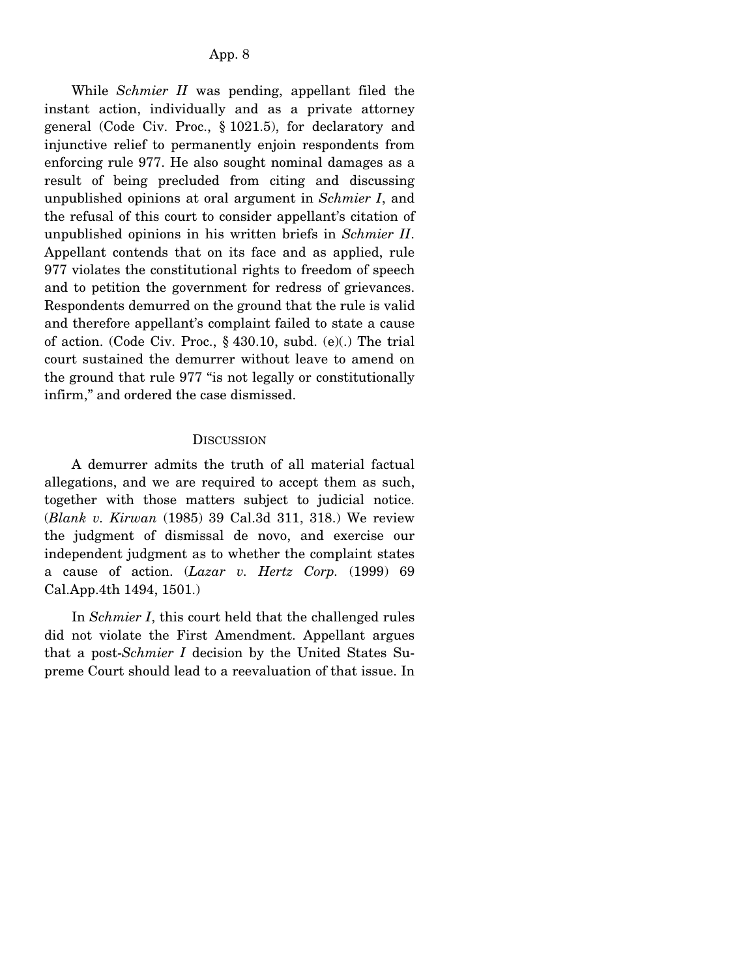While *Schmier II* was pending, appellant filed the instant action, individually and as a private attorney general (Code Civ. Proc., § 1021.5), for declaratory and injunctive relief to permanently enjoin respondents from enforcing rule 977. He also sought nominal damages as a result of being precluded from citing and discussing unpublished opinions at oral argument in *Schmier I*, and the refusal of this court to consider appellant's citation of unpublished opinions in his written briefs in *Schmier II*. Appellant contends that on its face and as applied, rule 977 violates the constitutional rights to freedom of speech and to petition the government for redress of grievances. Respondents demurred on the ground that the rule is valid and therefore appellant's complaint failed to state a cause of action. (Code Civ. Proc., § 430.10, subd. (e)(.) The trial court sustained the demurrer without leave to amend on the ground that rule 977 "is not legally or constitutionally infirm," and ordered the case dismissed.

#### **DISCUSSION**

 A demurrer admits the truth of all material factual allegations, and we are required to accept them as such, together with those matters subject to judicial notice. (*Blank v. Kirwan* (1985) 39 Cal.3d 311, 318.) We review the judgment of dismissal de novo, and exercise our independent judgment as to whether the complaint states a cause of action. (*Lazar v. Hertz Corp.* (1999) 69 Cal.App.4th 1494, 1501.)

 In *Schmier I*, this court held that the challenged rules did not violate the First Amendment. Appellant argues that a post-*Schmier I* decision by the United States Supreme Court should lead to a reevaluation of that issue. In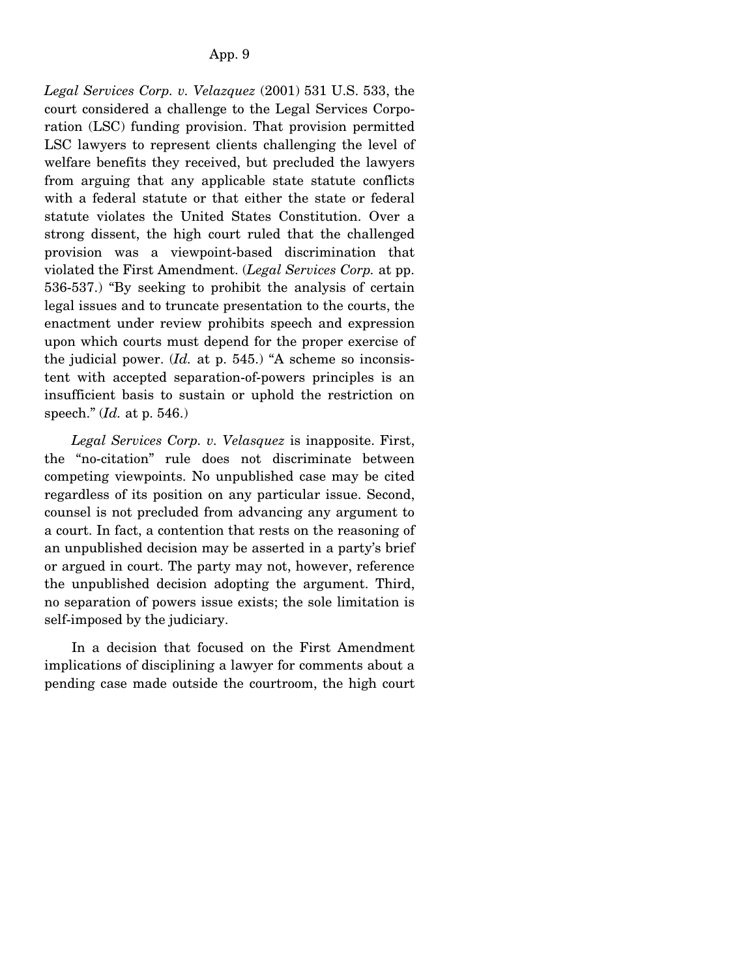*Legal Services Corp. v. Velazquez* (2001) 531 U.S. 533, the court considered a challenge to the Legal Services Corporation (LSC) funding provision. That provision permitted LSC lawyers to represent clients challenging the level of welfare benefits they received, but precluded the lawyers from arguing that any applicable state statute conflicts with a federal statute or that either the state or federal statute violates the United States Constitution. Over a strong dissent, the high court ruled that the challenged provision was a viewpoint-based discrimination that violated the First Amendment. (*Legal Services Corp.* at pp. 536-537.) "By seeking to prohibit the analysis of certain legal issues and to truncate presentation to the courts, the enactment under review prohibits speech and expression upon which courts must depend for the proper exercise of the judicial power. (*Id.* at p. 545.) "A scheme so inconsistent with accepted separation-of-powers principles is an insufficient basis to sustain or uphold the restriction on speech." (*Id.* at p. 546.)

 *Legal Services Corp. v. Velasquez* is inapposite. First, the "no-citation" rule does not discriminate between competing viewpoints. No unpublished case may be cited regardless of its position on any particular issue. Second, counsel is not precluded from advancing any argument to a court. In fact, a contention that rests on the reasoning of an unpublished decision may be asserted in a party's brief or argued in court. The party may not, however, reference the unpublished decision adopting the argument. Third, no separation of powers issue exists; the sole limitation is self-imposed by the judiciary.

 In a decision that focused on the First Amendment implications of disciplining a lawyer for comments about a pending case made outside the courtroom, the high court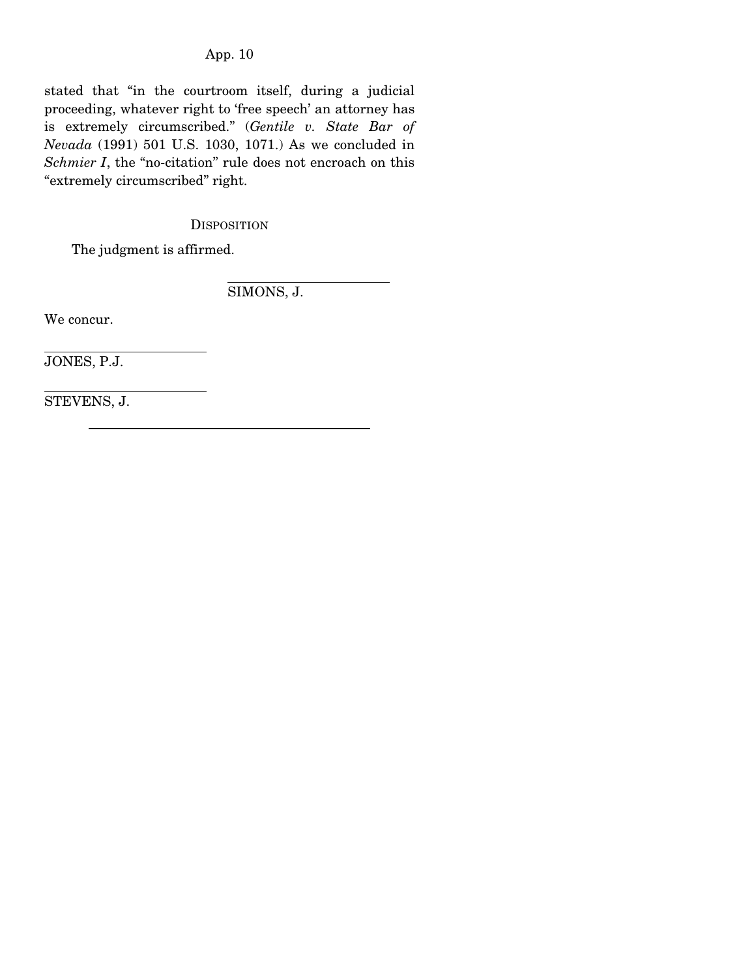stated that "in the courtroom itself, during a judicial proceeding, whatever right to 'free speech' an attorney has is extremely circumscribed." (*Gentile v. State Bar of Nevada* (1991) 501 U.S. 1030, 1071.) As we concluded in *Schmier I*, the "no-citation" rule does not encroach on this "extremely circumscribed" right.

#### DISPOSITION

 $\overline{\phantom{a}}$ 

The judgment is affirmed.

SIMONS, J.

We concur.

 $\overline{a}$ 

 $\overline{a}$ 

JONES, P.J.

STEVENS, J.